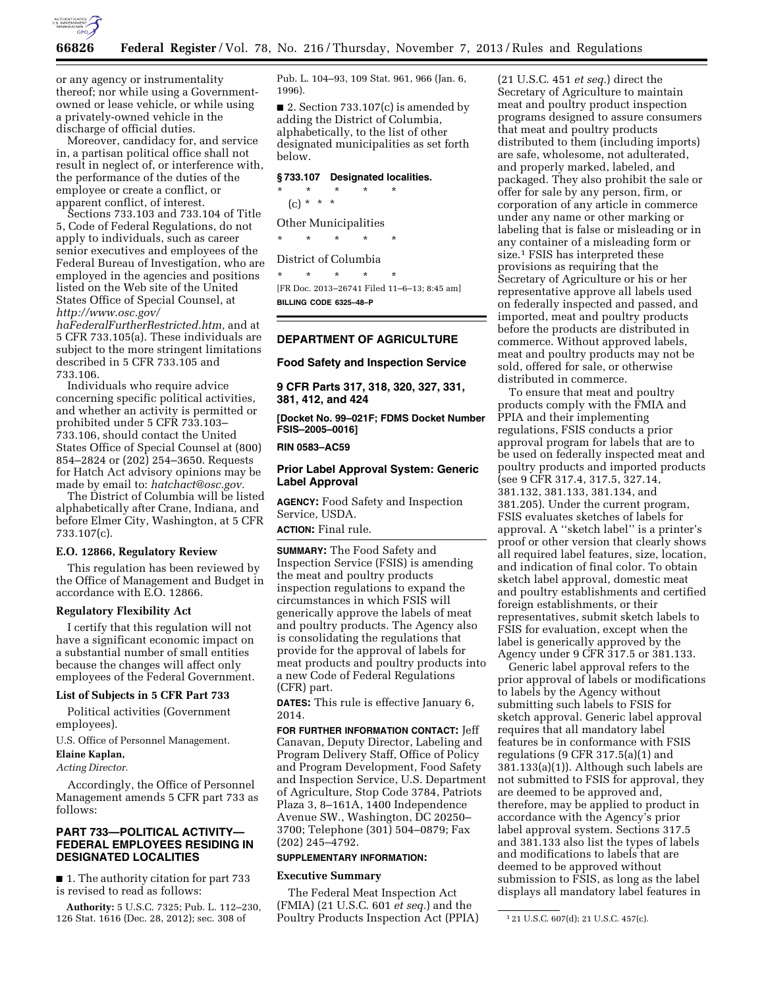

or any agency or instrumentality thereof; nor while using a Governmentowned or lease vehicle, or while using a privately-owned vehicle in the discharge of official duties.

Moreover, candidacy for, and service in, a partisan political office shall not result in neglect of, or interference with, the performance of the duties of the employee or create a conflict, or apparent conflict, of interest.

Sections 733.103 and 733.104 of Title 5, Code of Federal Regulations, do not apply to individuals, such as career senior executives and employees of the Federal Bureau of Investigation, who are employed in the agencies and positions listed on the Web site of the United States Office of Special Counsel, at *[http://www.osc.gov/](http://www.osc.gov/haFederalFurtherRestricted.htm)*

*[haFederalFurtherRestricted.htm,](http://www.osc.gov/haFederalFurtherRestricted.htm)* and at 5 CFR 733.105(a). These individuals are subject to the more stringent limitations described in 5 CFR 733.105 and 733.106.

Individuals who require advice concerning specific political activities, and whether an activity is permitted or prohibited under 5 CFR 733.103– 733.106, should contact the United States Office of Special Counsel at (800) 854–2824 or (202) 254–3650. Requests for Hatch Act advisory opinions may be made by email to: *[hatchact@osc.gov.](mailto:hatchact@osc.gov)* 

The District of Columbia will be listed alphabetically after Crane, Indiana, and before Elmer City, Washington, at 5 CFR 733.107(c).

#### **E.O. 12866, Regulatory Review**

This regulation has been reviewed by the Office of Management and Budget in accordance with E.O. 12866.

#### **Regulatory Flexibility Act**

I certify that this regulation will not have a significant economic impact on a substantial number of small entities because the changes will affect only employees of the Federal Government.

### **List of Subjects in 5 CFR Part 733**

Political activities (Government employees).

U.S. Office of Personnel Management.

# **Elaine Kaplan,**

*Acting Director.* 

Accordingly, the Office of Personnel Management amends 5 CFR part 733 as follows:

# **PART 733—POLITICAL ACTIVITY— FEDERAL EMPLOYEES RESIDING IN DESIGNATED LOCALITIES**

■ 1. The authority citation for part 733 is revised to read as follows:

**Authority:** 5 U.S.C. 7325; Pub. L. 112–230, 126 Stat. 1616 (Dec. 28, 2012); sec. 308 of

Pub. L. 104–93, 109 Stat. 961, 966 (Jan. 6, 1996).

■ 2. Section 733.107(c) is amended by adding the District of Columbia, alphabetically, to the list of other designated municipalities as set forth below.

# **§ 733.107 Designated localities.**

\* \* \* \* \*  $(c) * * * *$ 

Other Municipalities \* \* \* \* \*

# District of Columbia

\* \* \* \* \* [FR Doc. 2013–26741 Filed 11–6–13; 8:45 am] **BILLING CODE 6325–48–P** 

# **DEPARTMENT OF AGRICULTURE**

**Food Safety and Inspection Service** 

**9 CFR Parts 317, 318, 320, 327, 331, 381, 412, and 424** 

**[Docket No. 99–021F; FDMS Docket Number FSIS–2005–0016]** 

**RIN 0583–AC59** 

# **Prior Label Approval System: Generic Label Approval**

**AGENCY:** Food Safety and Inspection Service, USDA.

**ACTION:** Final rule.

**SUMMARY:** The Food Safety and Inspection Service (FSIS) is amending the meat and poultry products inspection regulations to expand the circumstances in which FSIS will generically approve the labels of meat and poultry products. The Agency also is consolidating the regulations that provide for the approval of labels for meat products and poultry products into a new Code of Federal Regulations (CFR) part.

**DATES:** This rule is effective January 6, 2014.

**FOR FURTHER INFORMATION CONTACT:** Jeff Canavan, Deputy Director, Labeling and Program Delivery Staff, Office of Policy and Program Development, Food Safety and Inspection Service, U.S. Department of Agriculture, Stop Code 3784, Patriots Plaza 3, 8–161A, 1400 Independence Avenue SW., Washington, DC 20250– 3700; Telephone (301) 504–0879; Fax (202) 245–4792.

# **SUPPLEMENTARY INFORMATION:**

# **Executive Summary**

The Federal Meat Inspection Act (FMIA) (21 U.S.C. 601 *et seq.*) and the Poultry Products Inspection Act (PPIA)

(21 U.S.C. 451 *et seq.*) direct the Secretary of Agriculture to maintain meat and poultry product inspection programs designed to assure consumers that meat and poultry products distributed to them (including imports) are safe, wholesome, not adulterated, and properly marked, labeled, and packaged. They also prohibit the sale or offer for sale by any person, firm, or corporation of any article in commerce under any name or other marking or labeling that is false or misleading or in any container of a misleading form or size.<sup>1</sup> FSIS has interpreted these provisions as requiring that the Secretary of Agriculture or his or her representative approve all labels used on federally inspected and passed, and imported, meat and poultry products before the products are distributed in commerce. Without approved labels, meat and poultry products may not be sold, offered for sale, or otherwise distributed in commerce.

To ensure that meat and poultry products comply with the FMIA and PPIA and their implementing regulations, FSIS conducts a prior approval program for labels that are to be used on federally inspected meat and poultry products and imported products (see 9 CFR 317.4, 317.5, 327.14, 381.132, 381.133, 381.134, and 381.205). Under the current program, FSIS evaluates sketches of labels for approval. A ''sketch label'' is a printer's proof or other version that clearly shows all required label features, size, location, and indication of final color. To obtain sketch label approval, domestic meat and poultry establishments and certified foreign establishments, or their representatives, submit sketch labels to FSIS for evaluation, except when the label is generically approved by the Agency under 9 CFR 317.5 or 381.133.

Generic label approval refers to the prior approval of labels or modifications to labels by the Agency without submitting such labels to FSIS for sketch approval. Generic label approval requires that all mandatory label features be in conformance with FSIS regulations (9 CFR 317.5(a)(1) and 381.133(a)(1)). Although such labels are not submitted to FSIS for approval, they are deemed to be approved and, therefore, may be applied to product in accordance with the Agency's prior label approval system. Sections 317.5 and 381.133 also list the types of labels and modifications to labels that are deemed to be approved without submission to FSIS, as long as the label displays all mandatory label features in

<sup>1</sup> 21 U.S.C. 607(d); 21 U.S.C. 457(c).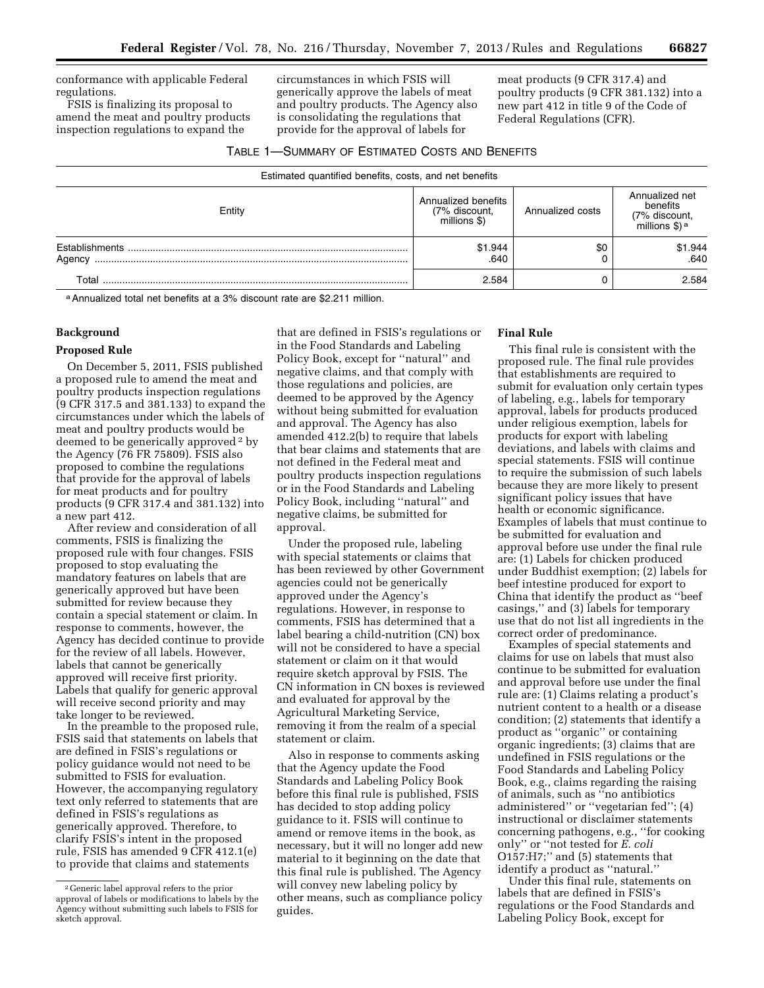conformance with applicable Federal regulations.

FSIS is finalizing its proposal to amend the meat and poultry products inspection regulations to expand the

circumstances in which FSIS will generically approve the labels of meat and poultry products. The Agency also is consolidating the regulations that provide for the approval of labels for

meat products (9 CFR 317.4) and poultry products (9 CFR 381.132) into a new part 412 in title 9 of the Code of Federal Regulations (CFR).

| TABLE 1-SUMMARY OF ESTIMATED COSTS AND BENEFITS |
|-------------------------------------------------|
|                                                 |

| Estimated quantified benefits, costs, and net benefits |                                                      |                  |                                                                          |  |
|--------------------------------------------------------|------------------------------------------------------|------------------|--------------------------------------------------------------------------|--|
| Entity                                                 | Annualized benefits<br>(7% discount,<br>millions \$) | Annualized costs | Annualized net<br>benefits<br>(7% discount,<br>millions \$) <sup>a</sup> |  |
| <b>Establishments</b><br>Agency                        | \$1.944<br>.640                                      | \$0              | \$1.944<br>.640                                                          |  |
| Total                                                  | 2.584                                                |                  | 2.584                                                                    |  |

a Annualized total net benefits at a 3% discount rate are \$2.211 million.

# **Background**

# **Proposed Rule**

On December 5, 2011, FSIS published a proposed rule to amend the meat and poultry products inspection regulations (9 CFR 317.5 and 381.133) to expand the circumstances under which the labels of meat and poultry products would be deemed to be generically approved 2 by the Agency (76 FR 75809). FSIS also proposed to combine the regulations that provide for the approval of labels for meat products and for poultry products (9 CFR 317.4 and 381.132) into a new part 412.

After review and consideration of all comments, FSIS is finalizing the proposed rule with four changes. FSIS proposed to stop evaluating the mandatory features on labels that are generically approved but have been submitted for review because they contain a special statement or claim. In response to comments, however, the Agency has decided continue to provide for the review of all labels. However, labels that cannot be generically approved will receive first priority. Labels that qualify for generic approval will receive second priority and may take longer to be reviewed.

In the preamble to the proposed rule, FSIS said that statements on labels that are defined in FSIS's regulations or policy guidance would not need to be submitted to FSIS for evaluation. However, the accompanying regulatory text only referred to statements that are defined in FSIS's regulations as generically approved. Therefore, to clarify FSIS's intent in the proposed rule, FSIS has amended 9 CFR 412.1(e) to provide that claims and statements

that are defined in FSIS's regulations or in the Food Standards and Labeling Policy Book, except for ''natural'' and negative claims, and that comply with those regulations and policies, are deemed to be approved by the Agency without being submitted for evaluation and approval. The Agency has also amended 412.2(b) to require that labels that bear claims and statements that are not defined in the Federal meat and poultry products inspection regulations or in the Food Standards and Labeling Policy Book, including ''natural'' and negative claims, be submitted for approval.

Under the proposed rule, labeling with special statements or claims that has been reviewed by other Government agencies could not be generically approved under the Agency's regulations. However, in response to comments, FSIS has determined that a label bearing a child-nutrition (CN) box will not be considered to have a special statement or claim on it that would require sketch approval by FSIS. The CN information in CN boxes is reviewed and evaluated for approval by the Agricultural Marketing Service, removing it from the realm of a special statement or claim.

Also in response to comments asking that the Agency update the Food Standards and Labeling Policy Book before this final rule is published, FSIS has decided to stop adding policy guidance to it. FSIS will continue to amend or remove items in the book, as necessary, but it will no longer add new material to it beginning on the date that this final rule is published. The Agency will convey new labeling policy by other means, such as compliance policy guides.

# **Final Rule**

This final rule is consistent with the proposed rule. The final rule provides that establishments are required to submit for evaluation only certain types of labeling, e.g., labels for temporary approval, labels for products produced under religious exemption, labels for products for export with labeling deviations, and labels with claims and special statements. FSIS will continue to require the submission of such labels because they are more likely to present significant policy issues that have health or economic significance. Examples of labels that must continue to be submitted for evaluation and approval before use under the final rule are: (1) Labels for chicken produced under Buddhist exemption; (2) labels for beef intestine produced for export to China that identify the product as ''beef casings,'' and (3) labels for temporary use that do not list all ingredients in the correct order of predominance.

Examples of special statements and claims for use on labels that must also continue to be submitted for evaluation and approval before use under the final rule are: (1) Claims relating a product's nutrient content to a health or a disease condition; (2) statements that identify a product as ''organic'' or containing organic ingredients; (3) claims that are undefined in FSIS regulations or the Food Standards and Labeling Policy Book, e.g., claims regarding the raising of animals, such as ''no antibiotics administered'' or ''vegetarian fed''; (4) instructional or disclaimer statements concerning pathogens, e.g., ''for cooking only'' or ''not tested for *E. coli*  O157:H7;'' and (5) statements that identify a product as ''natural.''

Under this final rule, statements on labels that are defined in FSIS's regulations or the Food Standards and Labeling Policy Book, except for

<sup>2</sup> Generic label approval refers to the prior approval of labels or modifications to labels by the Agency without submitting such labels to FSIS for sketch approval.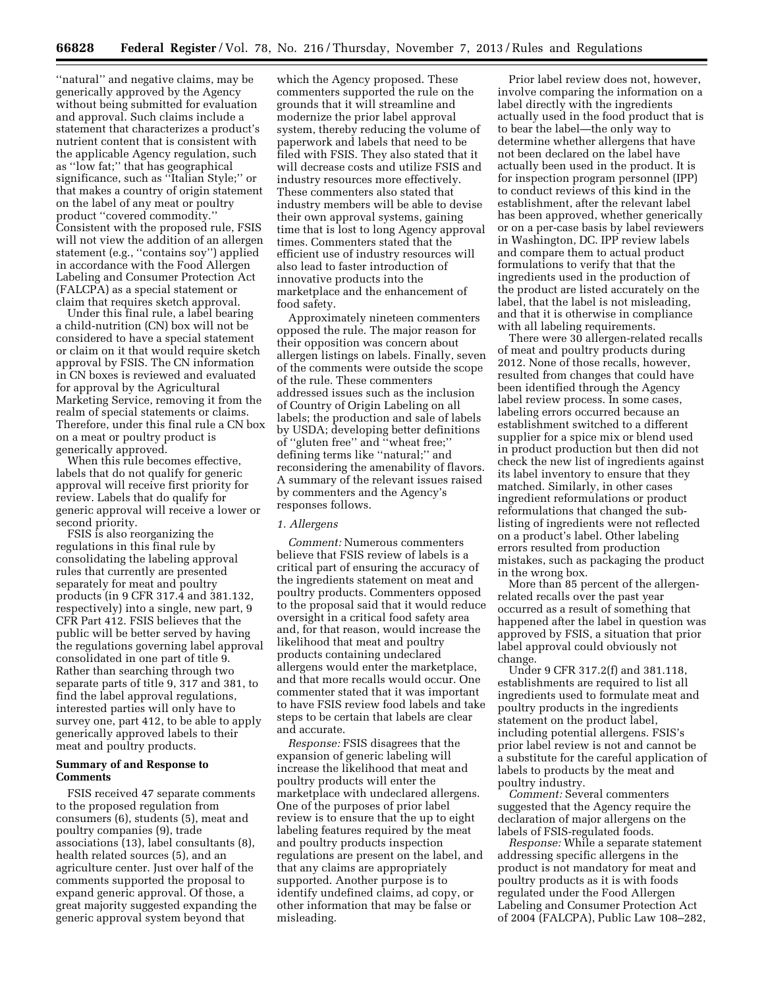''natural'' and negative claims, may be generically approved by the Agency without being submitted for evaluation and approval. Such claims include a statement that characterizes a product's nutrient content that is consistent with the applicable Agency regulation, such as ''low fat;'' that has geographical significance, such as ''Italian Style;'' or that makes a country of origin statement on the label of any meat or poultry product ''covered commodity.'' Consistent with the proposed rule, FSIS will not view the addition of an allergen statement (e.g., ''contains soy'') applied in accordance with the Food Allergen Labeling and Consumer Protection Act (FALCPA) as a special statement or claim that requires sketch approval.

Under this final rule, a label bearing a child-nutrition (CN) box will not be considered to have a special statement or claim on it that would require sketch approval by FSIS. The CN information in CN boxes is reviewed and evaluated for approval by the Agricultural Marketing Service, removing it from the realm of special statements or claims. Therefore, under this final rule a CN box on a meat or poultry product is generically approved.

When this rule becomes effective, labels that do not qualify for generic approval will receive first priority for review. Labels that do qualify for generic approval will receive a lower or second priority.

FSIS is also reorganizing the regulations in this final rule by consolidating the labeling approval rules that currently are presented separately for meat and poultry products (in 9 CFR 317.4 and 381.132, respectively) into a single, new part, 9 CFR Part 412. FSIS believes that the public will be better served by having the regulations governing label approval consolidated in one part of title 9. Rather than searching through two separate parts of title 9, 317 and 381, to find the label approval regulations, interested parties will only have to survey one, part 412, to be able to apply generically approved labels to their meat and poultry products.

# **Summary of and Response to Comments**

FSIS received 47 separate comments to the proposed regulation from consumers (6), students (5), meat and poultry companies (9), trade associations (13), label consultants (8), health related sources (5), and an agriculture center. Just over half of the comments supported the proposal to expand generic approval. Of those, a great majority suggested expanding the generic approval system beyond that

which the Agency proposed. These commenters supported the rule on the grounds that it will streamline and modernize the prior label approval system, thereby reducing the volume of paperwork and labels that need to be filed with FSIS. They also stated that it will decrease costs and utilize FSIS and industry resources more effectively. These commenters also stated that industry members will be able to devise their own approval systems, gaining time that is lost to long Agency approval times. Commenters stated that the efficient use of industry resources will also lead to faster introduction of innovative products into the marketplace and the enhancement of food safety.

Approximately nineteen commenters opposed the rule. The major reason for their opposition was concern about allergen listings on labels. Finally, seven of the comments were outside the scope of the rule. These commenters addressed issues such as the inclusion of Country of Origin Labeling on all labels; the production and sale of labels by USDA; developing better definitions of ''gluten free'' and ''wheat free;'' defining terms like ''natural;'' and reconsidering the amenability of flavors. A summary of the relevant issues raised by commenters and the Agency's responses follows.

# *1. Allergens*

*Comment:* Numerous commenters believe that FSIS review of labels is a critical part of ensuring the accuracy of the ingredients statement on meat and poultry products. Commenters opposed to the proposal said that it would reduce oversight in a critical food safety area and, for that reason, would increase the likelihood that meat and poultry products containing undeclared allergens would enter the marketplace, and that more recalls would occur. One commenter stated that it was important to have FSIS review food labels and take steps to be certain that labels are clear and accurate.

*Response:* FSIS disagrees that the expansion of generic labeling will increase the likelihood that meat and poultry products will enter the marketplace with undeclared allergens. One of the purposes of prior label review is to ensure that the up to eight labeling features required by the meat and poultry products inspection regulations are present on the label, and that any claims are appropriately supported. Another purpose is to identify undefined claims, ad copy, or other information that may be false or misleading.

Prior label review does not, however, involve comparing the information on a label directly with the ingredients actually used in the food product that is to bear the label—the only way to determine whether allergens that have not been declared on the label have actually been used in the product. It is for inspection program personnel (IPP) to conduct reviews of this kind in the establishment, after the relevant label has been approved, whether generically or on a per-case basis by label reviewers in Washington, DC. IPP review labels and compare them to actual product formulations to verify that that the ingredients used in the production of the product are listed accurately on the label, that the label is not misleading, and that it is otherwise in compliance with all labeling requirements.

There were 30 allergen-related recalls of meat and poultry products during 2012. None of those recalls, however, resulted from changes that could have been identified through the Agency label review process. In some cases, labeling errors occurred because an establishment switched to a different supplier for a spice mix or blend used in product production but then did not check the new list of ingredients against its label inventory to ensure that they matched. Similarly, in other cases ingredient reformulations or product reformulations that changed the sublisting of ingredients were not reflected on a product's label. Other labeling errors resulted from production mistakes, such as packaging the product in the wrong box.

More than 85 percent of the allergenrelated recalls over the past year occurred as a result of something that happened after the label in question was approved by FSIS, a situation that prior label approval could obviously not change.

Under 9 CFR 317.2(f) and 381.118, establishments are required to list all ingredients used to formulate meat and poultry products in the ingredients statement on the product label, including potential allergens. FSIS's prior label review is not and cannot be a substitute for the careful application of labels to products by the meat and poultry industry.

*Comment:* Several commenters suggested that the Agency require the declaration of major allergens on the labels of FSIS-regulated foods.

*Response:* While a separate statement addressing specific allergens in the product is not mandatory for meat and poultry products as it is with foods regulated under the Food Allergen Labeling and Consumer Protection Act of 2004 (FALCPA), Public Law 108–282,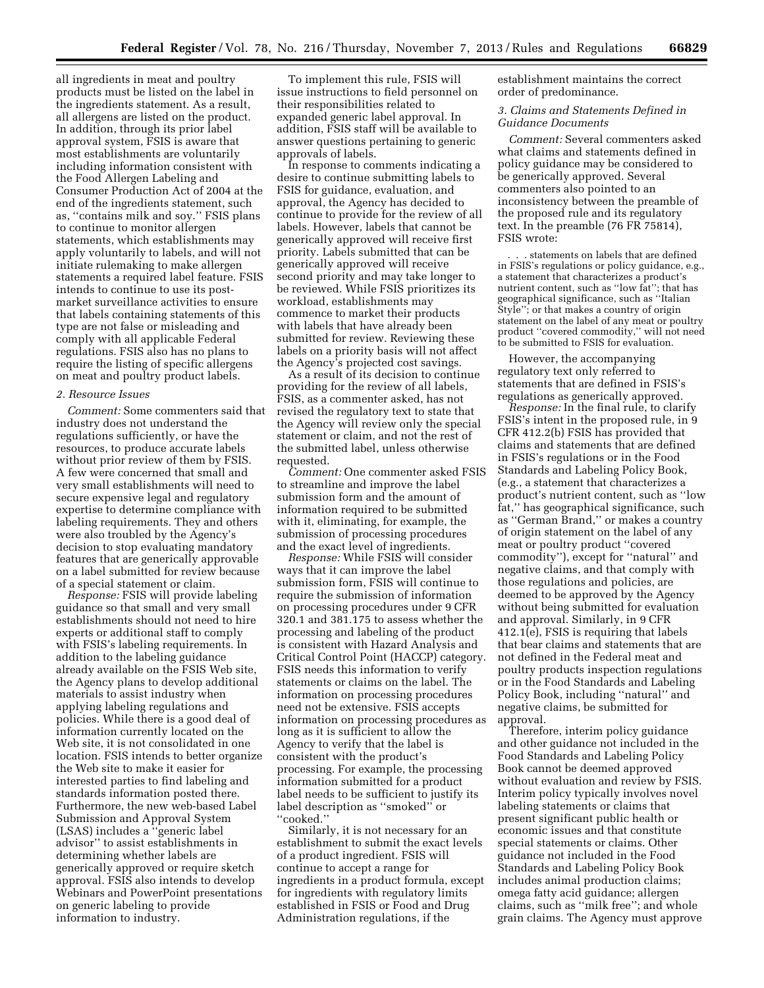all ingredients in meat and poultry products must be listed on the label in the ingredients statement. As a result, all allergens are listed on the product. In addition, through its prior label approval system, FSIS is aware that most establishments are voluntarily including information consistent with the Food Allergen Labeling and Consumer Production Act of 2004 at the end of the ingredients statement, such as, ''contains milk and soy.'' FSIS plans to continue to monitor allergen statements, which establishments may apply voluntarily to labels, and will not initiate rulemaking to make allergen statements a required label feature. FSIS intends to continue to use its postmarket surveillance activities to ensure that labels containing statements of this type are not false or misleading and comply with all applicable Federal regulations. FSIS also has no plans to require the listing of specific allergens on meat and poultry product labels.

#### *2. Resource Issues*

*Comment:* Some commenters said that industry does not understand the regulations sufficiently, or have the resources, to produce accurate labels without prior review of them by FSIS. A few were concerned that small and very small establishments will need to secure expensive legal and regulatory expertise to determine compliance with labeling requirements. They and others were also troubled by the Agency's decision to stop evaluating mandatory features that are generically approvable on a label submitted for review because of a special statement or claim.

*Response:* FSIS will provide labeling guidance so that small and very small establishments should not need to hire experts or additional staff to comply with FSIS's labeling requirements. In addition to the labeling guidance already available on the FSIS Web site, the Agency plans to develop additional materials to assist industry when applying labeling regulations and policies. While there is a good deal of information currently located on the Web site, it is not consolidated in one location. FSIS intends to better organize the Web site to make it easier for interested parties to find labeling and standards information posted there. Furthermore, the new web-based Label Submission and Approval System (LSAS) includes a ''generic label advisor'' to assist establishments in determining whether labels are generically approved or require sketch approval. FSIS also intends to develop Webinars and PowerPoint presentations on generic labeling to provide information to industry.

To implement this rule, FSIS will issue instructions to field personnel on their responsibilities related to expanded generic label approval. In addition, FSIS staff will be available to answer questions pertaining to generic approvals of labels.

In response to comments indicating a desire to continue submitting labels to FSIS for guidance, evaluation, and approval, the Agency has decided to continue to provide for the review of all labels. However, labels that cannot be generically approved will receive first priority. Labels submitted that can be generically approved will receive second priority and may take longer to be reviewed. While FSIS prioritizes its workload, establishments may commence to market their products with labels that have already been submitted for review. Reviewing these labels on a priority basis will not affect the Agency's projected cost savings.

As a result of its decision to continue providing for the review of all labels, FSIS, as a commenter asked, has not revised the regulatory text to state that the Agency will review only the special statement or claim, and not the rest of the submitted label, unless otherwise requested.

*Comment:* One commenter asked FSIS to streamline and improve the label submission form and the amount of information required to be submitted with it, eliminating, for example, the submission of processing procedures and the exact level of ingredients.

*Response:* While FSIS will consider ways that it can improve the label submission form, FSIS will continue to require the submission of information on processing procedures under 9 CFR 320.1 and 381.175 to assess whether the processing and labeling of the product is consistent with Hazard Analysis and Critical Control Point (HACCP) category. FSIS needs this information to verify statements or claims on the label. The information on processing procedures need not be extensive. FSIS accepts information on processing procedures as long as it is sufficient to allow the Agency to verify that the label is consistent with the product's processing. For example, the processing information submitted for a product label needs to be sufficient to justify its label description as ''smoked'' or ''cooked.''

Similarly, it is not necessary for an establishment to submit the exact levels of a product ingredient. FSIS will continue to accept a range for ingredients in a product formula, except for ingredients with regulatory limits established in FSIS or Food and Drug Administration regulations, if the

establishment maintains the correct order of predominance.

### *3. Claims and Statements Defined in Guidance Documents*

*Comment:* Several commenters asked what claims and statements defined in policy guidance may be considered to be generically approved. Several commenters also pointed to an inconsistency between the preamble of the proposed rule and its regulatory text. In the preamble (76 FR 75814), FSIS wrote:

. . . statements on labels that are defined in FSIS's regulations or policy guidance, e.g., a statement that characterizes a product's nutrient content, such as ''low fat''; that has geographical significance, such as ''Italian Style''; or that makes a country of origin statement on the label of any meat or poultry product ''covered commodity,'' will not need to be submitted to FSIS for evaluation.

However, the accompanying regulatory text only referred to statements that are defined in FSIS's regulations as generically approved.

*Response:* In the final rule, to clarify FSIS's intent in the proposed rule, in 9 CFR 412.2(b) FSIS has provided that claims and statements that are defined in FSIS's regulations or in the Food Standards and Labeling Policy Book, (e.g., a statement that characterizes a product's nutrient content, such as ''low fat,'' has geographical significance, such as ''German Brand,'' or makes a country of origin statement on the label of any meat or poultry product ''covered commodity''), except for ''natural'' and negative claims, and that comply with those regulations and policies, are deemed to be approved by the Agency without being submitted for evaluation and approval. Similarly, in 9 CFR 412.1(e), FSIS is requiring that labels that bear claims and statements that are not defined in the Federal meat and poultry products inspection regulations or in the Food Standards and Labeling Policy Book, including ''natural'' and negative claims, be submitted for approval.

Therefore, interim policy guidance and other guidance not included in the Food Standards and Labeling Policy Book cannot be deemed approved without evaluation and review by FSIS. Interim policy typically involves novel labeling statements or claims that present significant public health or economic issues and that constitute special statements or claims. Other guidance not included in the Food Standards and Labeling Policy Book includes animal production claims; omega fatty acid guidance; allergen claims, such as ''milk free''; and whole grain claims. The Agency must approve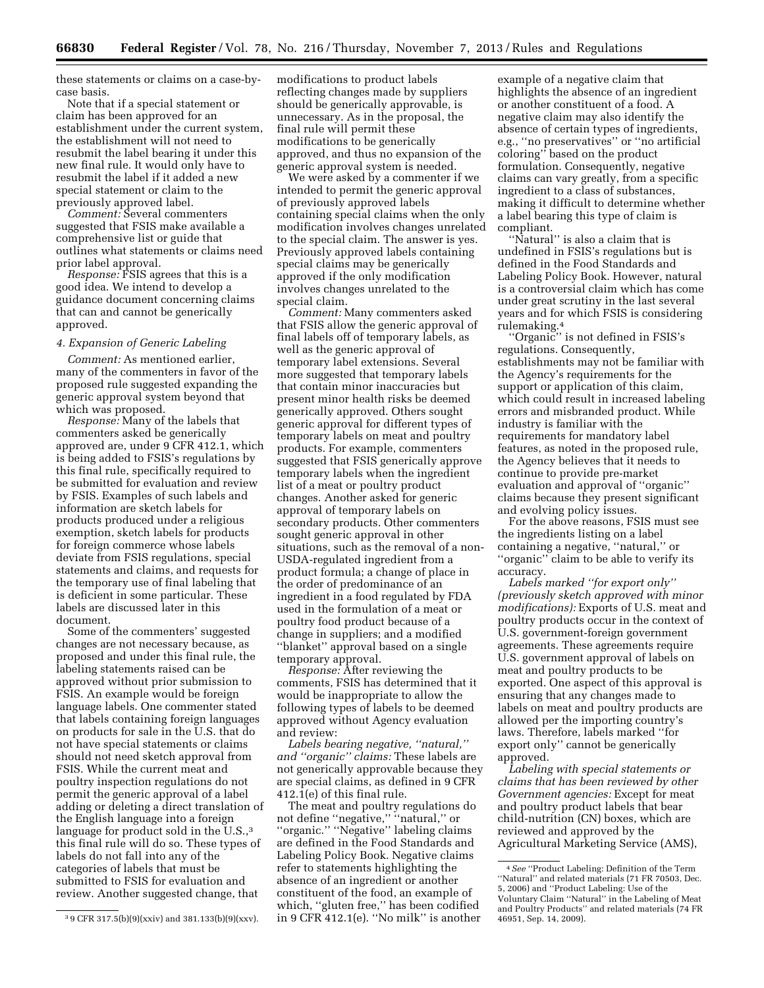these statements or claims on a case-bycase basis.

Note that if a special statement or claim has been approved for an establishment under the current system, the establishment will not need to resubmit the label bearing it under this new final rule. It would only have to resubmit the label if it added a new special statement or claim to the previously approved label.

*Comment:* Several commenters suggested that FSIS make available a comprehensive list or guide that outlines what statements or claims need prior label approval.

*Response:* FSIS agrees that this is a good idea. We intend to develop a guidance document concerning claims that can and cannot be generically approved.

# *4. Expansion of Generic Labeling*

*Comment:* As mentioned earlier, many of the commenters in favor of the proposed rule suggested expanding the generic approval system beyond that which was proposed.

*Response:* Many of the labels that commenters asked be generically approved are, under 9 CFR 412.1, which is being added to FSIS's regulations by this final rule, specifically required to be submitted for evaluation and review by FSIS. Examples of such labels and information are sketch labels for products produced under a religious exemption, sketch labels for products for foreign commerce whose labels deviate from FSIS regulations, special statements and claims, and requests for the temporary use of final labeling that is deficient in some particular. These labels are discussed later in this document.

Some of the commenters' suggested changes are not necessary because, as proposed and under this final rule, the labeling statements raised can be approved without prior submission to FSIS. An example would be foreign language labels. One commenter stated that labels containing foreign languages on products for sale in the U.S. that do not have special statements or claims should not need sketch approval from FSIS. While the current meat and poultry inspection regulations do not permit the generic approval of a label adding or deleting a direct translation of the English language into a foreign language for product sold in the U.S.,<sup>3</sup> this final rule will do so. These types of labels do not fall into any of the categories of labels that must be submitted to FSIS for evaluation and review. Another suggested change, that

modifications to product labels reflecting changes made by suppliers should be generically approvable, is unnecessary. As in the proposal, the final rule will permit these modifications to be generically approved, and thus no expansion of the generic approval system is needed.

We were asked by a commenter if we intended to permit the generic approval of previously approved labels containing special claims when the only modification involves changes unrelated to the special claim. The answer is yes. Previously approved labels containing special claims may be generically approved if the only modification involves changes unrelated to the special claim.

*Comment:* Many commenters asked that FSIS allow the generic approval of final labels off of temporary labels, as well as the generic approval of temporary label extensions. Several more suggested that temporary labels that contain minor inaccuracies but present minor health risks be deemed generically approved. Others sought generic approval for different types of temporary labels on meat and poultry products. For example, commenters suggested that FSIS generically approve temporary labels when the ingredient list of a meat or poultry product changes. Another asked for generic approval of temporary labels on secondary products. Other commenters sought generic approval in other situations, such as the removal of a non-USDA-regulated ingredient from a product formula; a change of place in the order of predominance of an ingredient in a food regulated by FDA used in the formulation of a meat or poultry food product because of a change in suppliers; and a modified ''blanket'' approval based on a single temporary approval.

*Response:* After reviewing the comments, FSIS has determined that it would be inappropriate to allow the following types of labels to be deemed approved without Agency evaluation and review:

*Labels bearing negative, ''natural,'' and ''organic'' claims:* These labels are not generically approvable because they are special claims, as defined in 9 CFR  $412.1(e)$  of this final rule.

The meat and poultry regulations do not define ''negative,'' ''natural,'' or ''organic.'' ''Negative'' labeling claims are defined in the Food Standards and Labeling Policy Book. Negative claims refer to statements highlighting the absence of an ingredient or another constituent of the food, an example of which, ''gluten free,'' has been codified in 9 CFR 412.1(e). ''No milk'' is another

example of a negative claim that highlights the absence of an ingredient or another constituent of a food. A negative claim may also identify the absence of certain types of ingredients, e.g., ''no preservatives'' or ''no artificial coloring'' based on the product formulation. Consequently, negative claims can vary greatly, from a specific ingredient to a class of substances, making it difficult to determine whether a label bearing this type of claim is compliant.

''Natural'' is also a claim that is undefined in FSIS's regulations but is defined in the Food Standards and Labeling Policy Book. However, natural is a controversial claim which has come under great scrutiny in the last several years and for which FSIS is considering rulemaking.4

''Organic'' is not defined in FSIS's regulations. Consequently, establishments may not be familiar with the Agency's requirements for the support or application of this claim, which could result in increased labeling errors and misbranded product. While industry is familiar with the requirements for mandatory label features, as noted in the proposed rule, the Agency believes that it needs to continue to provide pre-market evaluation and approval of ''organic'' claims because they present significant and evolving policy issues.

For the above reasons, FSIS must see the ingredients listing on a label containing a negative, ''natural,'' or ''organic'' claim to be able to verify its accuracy.

*Labels marked ''for export only'' (previously sketch approved with minor modifications):* Exports of U.S. meat and poultry products occur in the context of U.S. government-foreign government agreements. These agreements require U.S. government approval of labels on meat and poultry products to be exported. One aspect of this approval is ensuring that any changes made to labels on meat and poultry products are allowed per the importing country's laws. Therefore, labels marked ''for export only'' cannot be generically approved.

*Labeling with special statements or claims that has been reviewed by other Government agencies:* Except for meat and poultry product labels that bear child-nutrition (CN) boxes, which are reviewed and approved by the Agricultural Marketing Service (AMS),

<sup>3</sup> 9 CFR 317.5(b)(9)(xxiv) and 381.133(b)(9)(xxv).

<sup>4</sup>*See* ''Product Labeling: Definition of the Term ''Natural'' and related materials (71 FR 70503, Dec. 5, 2006) and ''Product Labeling: Use of the Voluntary Claim ''Natural'' in the Labeling of Meat and Poultry Products'' and related materials (74 FR 46951, Sep. 14, 2009).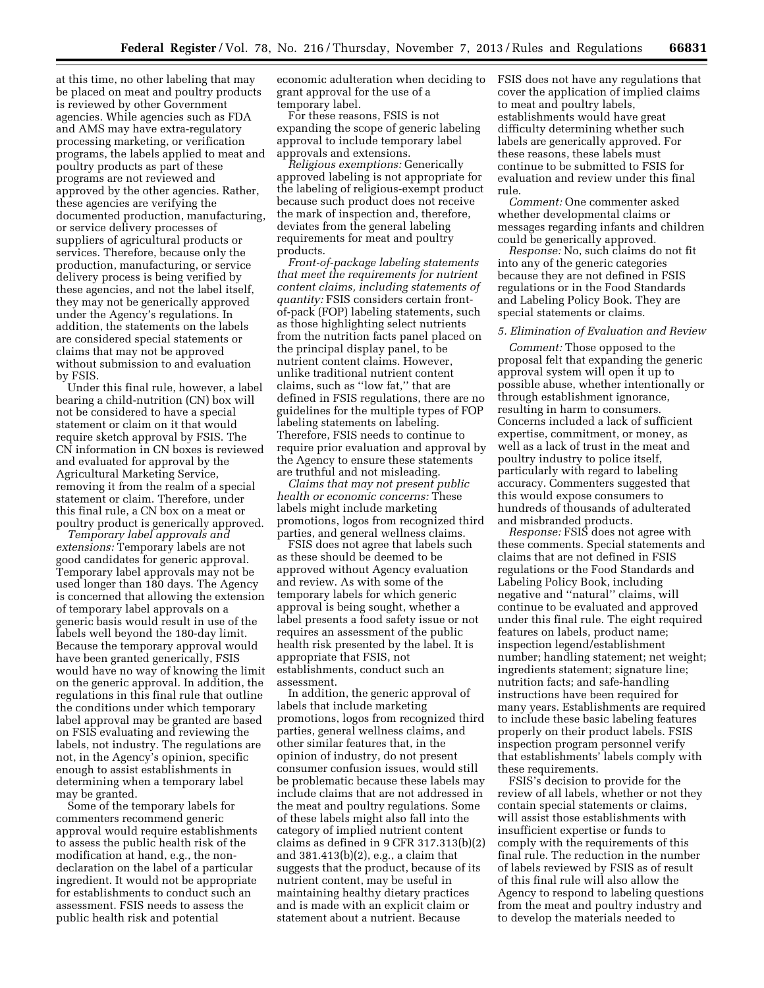at this time, no other labeling that may be placed on meat and poultry products is reviewed by other Government agencies. While agencies such as FDA and AMS may have extra-regulatory processing marketing, or verification programs, the labels applied to meat and poultry products as part of these programs are not reviewed and approved by the other agencies. Rather, these agencies are verifying the documented production, manufacturing, or service delivery processes of suppliers of agricultural products or services. Therefore, because only the production, manufacturing, or service delivery process is being verified by these agencies, and not the label itself, they may not be generically approved under the Agency's regulations. In addition, the statements on the labels are considered special statements or claims that may not be approved without submission to and evaluation by FSIS.

Under this final rule, however, a label bearing a child-nutrition (CN) box will not be considered to have a special statement or claim on it that would require sketch approval by FSIS. The CN information in CN boxes is reviewed and evaluated for approval by the Agricultural Marketing Service, removing it from the realm of a special statement or claim. Therefore, under this final rule, a CN box on a meat or poultry product is generically approved.

*Temporary label approvals and extensions:* Temporary labels are not good candidates for generic approval. Temporary label approvals may not be used longer than 180 days. The Agency is concerned that allowing the extension of temporary label approvals on a generic basis would result in use of the labels well beyond the 180-day limit. Because the temporary approval would have been granted generically, FSIS would have no way of knowing the limit on the generic approval. In addition, the regulations in this final rule that outline the conditions under which temporary label approval may be granted are based on FSIS evaluating and reviewing the labels, not industry. The regulations are not, in the Agency's opinion, specific enough to assist establishments in determining when a temporary label may be granted.

Some of the temporary labels for commenters recommend generic approval would require establishments to assess the public health risk of the modification at hand, e.g., the nondeclaration on the label of a particular ingredient. It would not be appropriate for establishments to conduct such an assessment. FSIS needs to assess the public health risk and potential

economic adulteration when deciding to grant approval for the use of a temporary label.

For these reasons, FSIS is not expanding the scope of generic labeling approval to include temporary label approvals and extensions.

*Religious exemptions:* Generically approved labeling is not appropriate for the labeling of religious-exempt product because such product does not receive the mark of inspection and, therefore, deviates from the general labeling requirements for meat and poultry products.

*Front-of-package labeling statements that meet the requirements for nutrient content claims, including statements of quantity:* FSIS considers certain frontof-pack (FOP) labeling statements, such as those highlighting select nutrients from the nutrition facts panel placed on the principal display panel, to be nutrient content claims. However, unlike traditional nutrient content claims, such as ''low fat,'' that are defined in FSIS regulations, there are no guidelines for the multiple types of FOP labeling statements on labeling. Therefore, FSIS needs to continue to require prior evaluation and approval by the Agency to ensure these statements are truthful and not misleading.

*Claims that may not present public health or economic concerns:* These labels might include marketing promotions, logos from recognized third parties, and general wellness claims.

FSIS does not agree that labels such as these should be deemed to be approved without Agency evaluation and review. As with some of the temporary labels for which generic approval is being sought, whether a label presents a food safety issue or not requires an assessment of the public health risk presented by the label. It is appropriate that FSIS, not establishments, conduct such an assessment.

In addition, the generic approval of labels that include marketing promotions, logos from recognized third parties, general wellness claims, and other similar features that, in the opinion of industry, do not present consumer confusion issues, would still be problematic because these labels may include claims that are not addressed in the meat and poultry regulations. Some of these labels might also fall into the category of implied nutrient content claims as defined in 9 CFR 317.313(b)(2) and 381.413(b)(2), e.g., a claim that suggests that the product, because of its nutrient content, may be useful in maintaining healthy dietary practices and is made with an explicit claim or statement about a nutrient. Because

FSIS does not have any regulations that cover the application of implied claims to meat and poultry labels, establishments would have great difficulty determining whether such labels are generically approved. For these reasons, these labels must continue to be submitted to FSIS for evaluation and review under this final rule.

*Comment:* One commenter asked whether developmental claims or messages regarding infants and children could be generically approved.

*Response:* No, such claims do not fit into any of the generic categories because they are not defined in FSIS regulations or in the Food Standards and Labeling Policy Book. They are special statements or claims.

#### *5. Elimination of Evaluation and Review*

*Comment:* Those opposed to the proposal felt that expanding the generic approval system will open it up to possible abuse, whether intentionally or through establishment ignorance, resulting in harm to consumers. Concerns included a lack of sufficient expertise, commitment, or money, as well as a lack of trust in the meat and poultry industry to police itself, particularly with regard to labeling accuracy. Commenters suggested that this would expose consumers to hundreds of thousands of adulterated and misbranded products.

*Response:* FSIS does not agree with these comments. Special statements and claims that are not defined in FSIS regulations or the Food Standards and Labeling Policy Book, including negative and ''natural'' claims, will continue to be evaluated and approved under this final rule. The eight required features on labels, product name; inspection legend/establishment number; handling statement; net weight; ingredients statement; signature line; nutrition facts; and safe-handling instructions have been required for many years. Establishments are required to include these basic labeling features properly on their product labels. FSIS inspection program personnel verify that establishments' labels comply with these requirements.

FSIS's decision to provide for the review of all labels, whether or not they contain special statements or claims, will assist those establishments with insufficient expertise or funds to comply with the requirements of this final rule. The reduction in the number of labels reviewed by FSIS as of result of this final rule will also allow the Agency to respond to labeling questions from the meat and poultry industry and to develop the materials needed to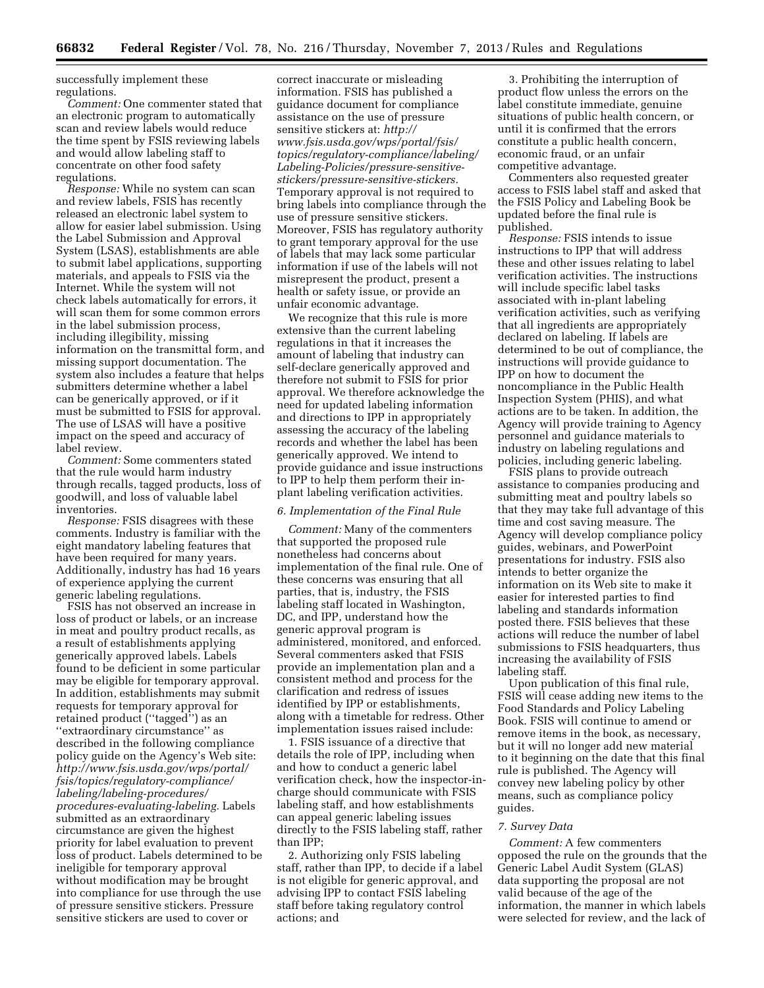successfully implement these regulations.

*Comment:* One commenter stated that an electronic program to automatically scan and review labels would reduce the time spent by FSIS reviewing labels and would allow labeling staff to concentrate on other food safety regulations.

*Response:* While no system can scan and review labels, FSIS has recently released an electronic label system to allow for easier label submission. Using the Label Submission and Approval System (LSAS), establishments are able to submit label applications, supporting materials, and appeals to FSIS via the Internet. While the system will not check labels automatically for errors, it will scan them for some common errors in the label submission process, including illegibility, missing information on the transmittal form, and missing support documentation. The system also includes a feature that helps submitters determine whether a label can be generically approved, or if it must be submitted to FSIS for approval. The use of LSAS will have a positive impact on the speed and accuracy of label review.

*Comment:* Some commenters stated that the rule would harm industry through recalls, tagged products, loss of goodwill, and loss of valuable label inventories.

*Response:* FSIS disagrees with these comments. Industry is familiar with the eight mandatory labeling features that have been required for many years. Additionally, industry has had 16 years of experience applying the current generic labeling regulations.

FSIS has not observed an increase in loss of product or labels, or an increase in meat and poultry product recalls, as a result of establishments applying generically approved labels. Labels found to be deficient in some particular may be eligible for temporary approval. In addition, establishments may submit requests for temporary approval for retained product (''tagged'') as an ''extraordinary circumstance'' as described in the following compliance policy guide on the Agency's Web site: *[http://www.fsis.usda.gov/wps/portal/](http://www.fsis.usda.gov/wps/portal/fsis/topics/regulatory-compliance/labeling/labeling-procedures/procedures-evaluating-labeling) [fsis/topics/regulatory-compliance/](http://www.fsis.usda.gov/wps/portal/fsis/topics/regulatory-compliance/labeling/labeling-procedures/procedures-evaluating-labeling) [labeling/labeling-procedures/](http://www.fsis.usda.gov/wps/portal/fsis/topics/regulatory-compliance/labeling/labeling-procedures/procedures-evaluating-labeling) [procedures-evaluating-labeling.](http://www.fsis.usda.gov/wps/portal/fsis/topics/regulatory-compliance/labeling/labeling-procedures/procedures-evaluating-labeling)* Labels submitted as an extraordinary circumstance are given the highest priority for label evaluation to prevent loss of product. Labels determined to be ineligible for temporary approval without modification may be brought into compliance for use through the use of pressure sensitive stickers. Pressure sensitive stickers are used to cover or

correct inaccurate or misleading information. FSIS has published a guidance document for compliance assistance on the use of pressure sensitive stickers at: *[http://](http://www.fsis.usda.gov/wps/portal/fsis/topics/regulatory-compliance/labeling/Labeling-Policies/pressure-sensitive-stickers/pressure-sensitive-stickers) [www.fsis.usda.gov/wps/portal/fsis/](http://www.fsis.usda.gov/wps/portal/fsis/topics/regulatory-compliance/labeling/Labeling-Policies/pressure-sensitive-stickers/pressure-sensitive-stickers) [topics/regulatory-compliance/labeling/](http://www.fsis.usda.gov/wps/portal/fsis/topics/regulatory-compliance/labeling/Labeling-Policies/pressure-sensitive-stickers/pressure-sensitive-stickers) [Labeling-Policies/pressure-sensitive](http://www.fsis.usda.gov/wps/portal/fsis/topics/regulatory-compliance/labeling/Labeling-Policies/pressure-sensitive-stickers/pressure-sensitive-stickers)[stickers/pressure-sensitive-stickers.](http://www.fsis.usda.gov/wps/portal/fsis/topics/regulatory-compliance/labeling/Labeling-Policies/pressure-sensitive-stickers/pressure-sensitive-stickers)*  Temporary approval is not required to bring labels into compliance through the use of pressure sensitive stickers. Moreover, FSIS has regulatory authority to grant temporary approval for the use of labels that may lack some particular information if use of the labels will not misrepresent the product, present a health or safety issue, or provide an unfair economic advantage.

We recognize that this rule is more extensive than the current labeling regulations in that it increases the amount of labeling that industry can self-declare generically approved and therefore not submit to FSIS for prior approval. We therefore acknowledge the need for updated labeling information and directions to IPP in appropriately assessing the accuracy of the labeling records and whether the label has been generically approved. We intend to provide guidance and issue instructions to IPP to help them perform their inplant labeling verification activities.

#### *6. Implementation of the Final Rule*

*Comment:* Many of the commenters that supported the proposed rule nonetheless had concerns about implementation of the final rule. One of these concerns was ensuring that all parties, that is, industry, the FSIS labeling staff located in Washington, DC, and IPP, understand how the generic approval program is administered, monitored, and enforced. Several commenters asked that FSIS provide an implementation plan and a consistent method and process for the clarification and redress of issues identified by IPP or establishments, along with a timetable for redress. Other implementation issues raised include:

1. FSIS issuance of a directive that details the role of IPP, including when and how to conduct a generic label verification check, how the inspector-incharge should communicate with FSIS labeling staff, and how establishments can appeal generic labeling issues directly to the FSIS labeling staff, rather than IPP;

2. Authorizing only FSIS labeling staff, rather than IPP, to decide if a label is not eligible for generic approval, and advising IPP to contact FSIS labeling staff before taking regulatory control actions; and

3. Prohibiting the interruption of product flow unless the errors on the label constitute immediate, genuine situations of public health concern, or until it is confirmed that the errors constitute a public health concern, economic fraud, or an unfair competitive advantage.

Commenters also requested greater access to FSIS label staff and asked that the FSIS Policy and Labeling Book be updated before the final rule is published.

*Response:* FSIS intends to issue instructions to IPP that will address these and other issues relating to label verification activities. The instructions will include specific label tasks associated with in-plant labeling verification activities, such as verifying that all ingredients are appropriately declared on labeling. If labels are determined to be out of compliance, the instructions will provide guidance to IPP on how to document the noncompliance in the Public Health Inspection System (PHIS), and what actions are to be taken. In addition, the Agency will provide training to Agency personnel and guidance materials to industry on labeling regulations and policies, including generic labeling.

FSIS plans to provide outreach assistance to companies producing and submitting meat and poultry labels so that they may take full advantage of this time and cost saving measure. The Agency will develop compliance policy guides, webinars, and PowerPoint presentations for industry. FSIS also intends to better organize the information on its Web site to make it easier for interested parties to find labeling and standards information posted there. FSIS believes that these actions will reduce the number of label submissions to FSIS headquarters, thus increasing the availability of FSIS labeling staff.

Upon publication of this final rule, FSIS will cease adding new items to the Food Standards and Policy Labeling Book. FSIS will continue to amend or remove items in the book, as necessary, but it will no longer add new material to it beginning on the date that this final rule is published. The Agency will convey new labeling policy by other means, such as compliance policy guides.

#### *7. Survey Data*

*Comment:* A few commenters opposed the rule on the grounds that the Generic Label Audit System (GLAS) data supporting the proposal are not valid because of the age of the information, the manner in which labels were selected for review, and the lack of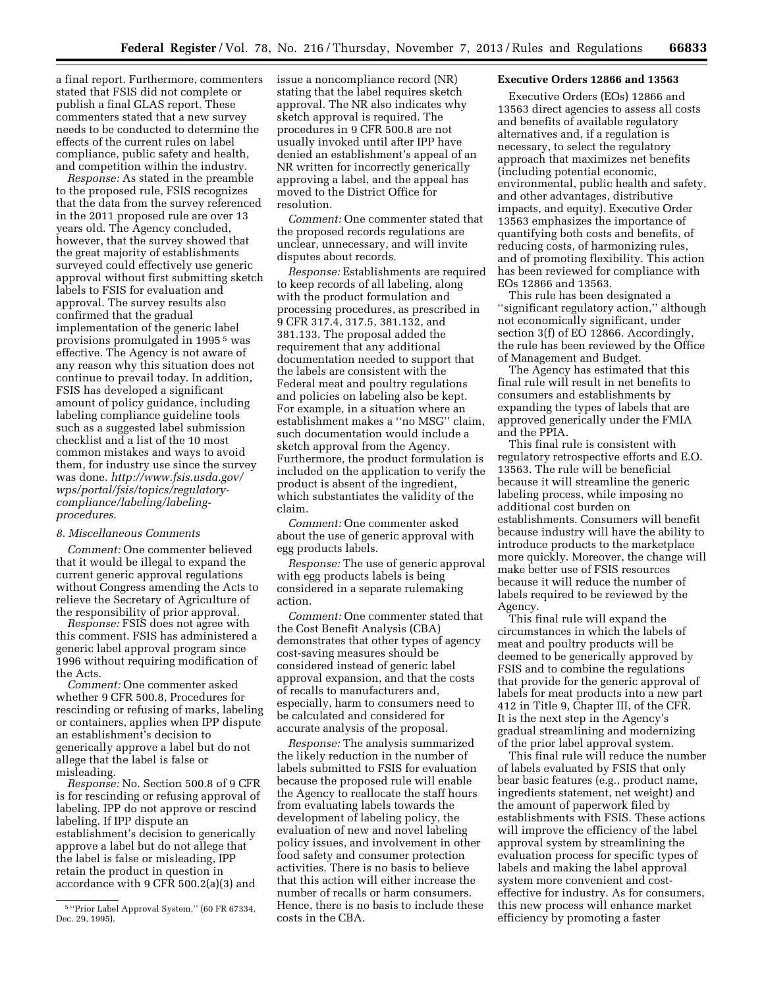a final report. Furthermore, commenters stated that FSIS did not complete or publish a final GLAS report. These commenters stated that a new survey needs to be conducted to determine the effects of the current rules on label compliance, public safety and health, and competition within the industry.

*Response:* As stated in the preamble to the proposed rule, FSIS recognizes that the data from the survey referenced in the 2011 proposed rule are over 13 years old. The Agency concluded, however, that the survey showed that the great majority of establishments surveyed could effectively use generic approval without first submitting sketch labels to FSIS for evaluation and approval. The survey results also confirmed that the gradual implementation of the generic label provisions promulgated in 1995 5 was effective. The Agency is not aware of any reason why this situation does not continue to prevail today. In addition, FSIS has developed a significant amount of policy guidance, including labeling compliance guideline tools such as a suggested label submission checklist and a list of the 10 most common mistakes and ways to avoid them, for industry use since the survey was done. *http://www.fsis.usda.gov/ wps/portal/fsis/topics/regulatorycompliance/labeling/labelingprocedures*.

#### *8. Miscellaneous Comments*

*Comment:* One commenter believed that it would be illegal to expand the current generic approval regulations without Congress amending the Acts to relieve the Secretary of Agriculture of the responsibility of prior approval.

*Response:* FSIS does not agree with this comment. FSIS has administered a generic label approval program since 1996 without requiring modification of the Acts.

*Comment:* One commenter asked whether 9 CFR 500.8, Procedures for rescinding or refusing of marks, labeling or containers, applies when IPP dispute an establishment's decision to generically approve a label but do not allege that the label is false or misleading.

*Response:* No. Section 500.8 of 9 CFR is for rescinding or refusing approval of labeling. IPP do not approve or rescind labeling. If IPP dispute an establishment's decision to generically approve a label but do not allege that the label is false or misleading, IPP retain the product in question in accordance with 9 CFR 500.2(a)(3) and

issue a noncompliance record (NR) stating that the label requires sketch approval. The NR also indicates why sketch approval is required. The procedures in 9 CFR 500.8 are not usually invoked until after IPP have denied an establishment's appeal of an NR written for incorrectly generically approving a label, and the appeal has moved to the District Office for resolution.

*Comment:* One commenter stated that the proposed records regulations are unclear, unnecessary, and will invite disputes about records.

*Response:* Establishments are required to keep records of all labeling, along with the product formulation and processing procedures, as prescribed in 9 CFR 317.4, 317.5, 381.132, and 381.133. The proposal added the requirement that any additional documentation needed to support that the labels are consistent with the Federal meat and poultry regulations and policies on labeling also be kept. For example, in a situation where an establishment makes a ''no MSG'' claim, such documentation would include a sketch approval from the Agency. Furthermore, the product formulation is included on the application to verify the product is absent of the ingredient, which substantiates the validity of the claim.

*Comment:* One commenter asked about the use of generic approval with egg products labels.

*Response:* The use of generic approval with egg products labels is being considered in a separate rulemaking action.

*Comment:* One commenter stated that the Cost Benefit Analysis (CBA) demonstrates that other types of agency cost-saving measures should be considered instead of generic label approval expansion, and that the costs of recalls to manufacturers and, especially, harm to consumers need to be calculated and considered for accurate analysis of the proposal.

*Response:* The analysis summarized the likely reduction in the number of labels submitted to FSIS for evaluation because the proposed rule will enable the Agency to reallocate the staff hours from evaluating labels towards the development of labeling policy, the evaluation of new and novel labeling policy issues, and involvement in other food safety and consumer protection activities. There is no basis to believe that this action will either increase the number of recalls or harm consumers. Hence, there is no basis to include these costs in the CBA.

# **Executive Orders 12866 and 13563**

Executive Orders (EOs) 12866 and 13563 direct agencies to assess all costs and benefits of available regulatory alternatives and, if a regulation is necessary, to select the regulatory approach that maximizes net benefits (including potential economic, environmental, public health and safety, and other advantages, distributive impacts, and equity). Executive Order 13563 emphasizes the importance of quantifying both costs and benefits, of reducing costs, of harmonizing rules, and of promoting flexibility. This action has been reviewed for compliance with EOs 12866 and 13563.

This rule has been designated a ''significant regulatory action,'' although not economically significant, under section 3(f) of EO 12866. Accordingly, the rule has been reviewed by the Office of Management and Budget.

The Agency has estimated that this final rule will result in net benefits to consumers and establishments by expanding the types of labels that are approved generically under the FMIA and the PPIA.

This final rule is consistent with regulatory retrospective efforts and E.O. 13563. The rule will be beneficial because it will streamline the generic labeling process, while imposing no additional cost burden on establishments. Consumers will benefit because industry will have the ability to introduce products to the marketplace more quickly. Moreover, the change will make better use of FSIS resources because it will reduce the number of labels required to be reviewed by the Agency.

This final rule will expand the circumstances in which the labels of meat and poultry products will be deemed to be generically approved by FSIS and to combine the regulations that provide for the generic approval of labels for meat products into a new part 412 in Title 9, Chapter III, of the CFR. It is the next step in the Agency's gradual streamlining and modernizing of the prior label approval system.

This final rule will reduce the number of labels evaluated by FSIS that only bear basic features (e.g., product name, ingredients statement, net weight) and the amount of paperwork filed by establishments with FSIS. These actions will improve the efficiency of the label approval system by streamlining the evaluation process for specific types of labels and making the label approval system more convenient and costeffective for industry. As for consumers, this new process will enhance market efficiency by promoting a faster

<sup>&</sup>lt;sup>5</sup> "Prior Label Approval System," (60 FR 67334, Dec. 29, 1995).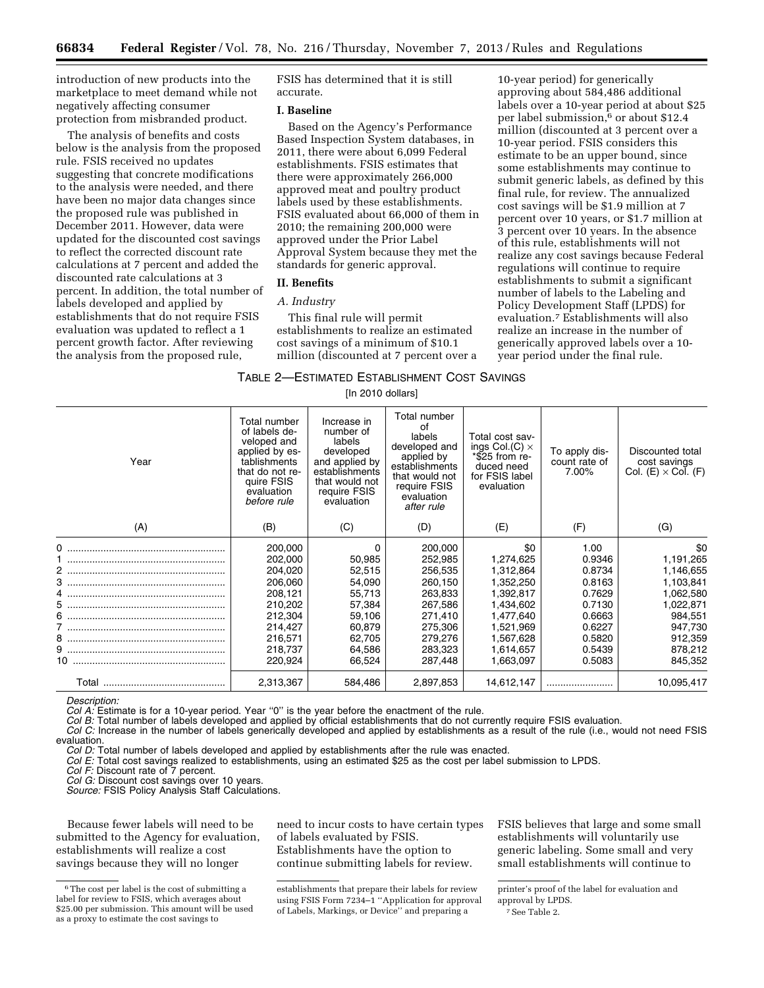introduction of new products into the marketplace to meet demand while not negatively affecting consumer protection from misbranded product.

The analysis of benefits and costs below is the analysis from the proposed rule. FSIS received no updates suggesting that concrete modifications to the analysis were needed, and there have been no major data changes since the proposed rule was published in December 2011. However, data were updated for the discounted cost savings to reflect the corrected discount rate calculations at 7 percent and added the discounted rate calculations at 3 percent. In addition, the total number of labels developed and applied by establishments that do not require FSIS evaluation was updated to reflect a 1 percent growth factor. After reviewing the analysis from the proposed rule,

FSIS has determined that it is still accurate.

#### **I. Baseline**

Based on the Agency's Performance Based Inspection System databases, in 2011, there were about 6,099 Federal establishments. FSIS estimates that there were approximately 266,000 approved meat and poultry product labels used by these establishments. FSIS evaluated about 66,000 of them in 2010; the remaining 200,000 were approved under the Prior Label Approval System because they met the standards for generic approval.

# **II. Benefits**

#### *A. Industry*

This final rule will permit establishments to realize an estimated cost savings of a minimum of \$10.1 million (discounted at 7 percent over a

10-year period) for generically approving about 584,486 additional labels over a 10-year period at about \$25 per label submission,6 or about \$12.4 million (discounted at 3 percent over a 10-year period. FSIS considers this estimate to be an upper bound, since some establishments may continue to submit generic labels, as defined by this final rule, for review. The annualized cost savings will be \$1.9 million at 7 percent over 10 years, or \$1.7 million at 3 percent over 10 years. In the absence of this rule, establishments will not realize any cost savings because Federal regulations will continue to require establishments to submit a significant number of labels to the Labeling and Policy Development Staff (LPDS) for evaluation.7 Establishments will also realize an increase in the number of generically approved labels over a 10 year period under the final rule.

# TABLE 2—ESTIMATED ESTABLISHMENT COST SAVINGS

[In 2010 dollars]

| Year | Total number<br>of labels de-<br>veloped and<br>applied by es-<br>tablishments<br>that do not re-<br>quire FSIS<br>evaluation<br>before rule | Increase in<br>number of<br>labels<br>developed<br>and applied by<br>establishments<br>that would not<br>require FSIS<br>evaluation | Total number<br>of<br>labels<br>developed and<br>applied by<br>establishments<br>that would not<br>require FSIS<br>evaluation<br>after rule | Total cost sav-<br>ings Col.(C) $\times$<br>$*$ \$25 from re-<br>duced need<br>for FSIS label<br>evaluation                           | To apply dis-<br>count rate of<br>7.00%                                                                  | Discounted total<br>cost savings<br>Col. (E) $\times$ Col. (F)                                                              |
|------|----------------------------------------------------------------------------------------------------------------------------------------------|-------------------------------------------------------------------------------------------------------------------------------------|---------------------------------------------------------------------------------------------------------------------------------------------|---------------------------------------------------------------------------------------------------------------------------------------|----------------------------------------------------------------------------------------------------------|-----------------------------------------------------------------------------------------------------------------------------|
| (A)  | (B)                                                                                                                                          | (C)                                                                                                                                 | (D)                                                                                                                                         | (E)                                                                                                                                   | (F)                                                                                                      | (G)                                                                                                                         |
|      | 200,000<br>202,000<br>204,020<br>206,060<br>208,121<br>210,202<br>212,304<br>214,427<br>216,571<br>218,737<br>220,924                        | 0<br>50,985<br>52,515<br>54,090<br>55,713<br>57,384<br>59,106<br>60,879<br>62,705<br>64,586<br>66,524                               | 200,000<br>252,985<br>256,535<br>260,150<br>263,833<br>267,586<br>271,410<br>275,306<br>279,276<br>283,323<br>287,448                       | \$0<br>1,274,625<br>1,312,864<br>1,352,250<br>1,392,817<br>1,434,602<br>1,477,640<br>1,521,969<br>1,567,628<br>1,614,657<br>1,663,097 | 1.00<br>0.9346<br>0.8734<br>0.8163<br>0.7629<br>0.7130<br>0.6663<br>0.6227<br>0.5820<br>0.5439<br>0.5083 | \$0<br>1,191,265<br>1,146,655<br>1,103,841<br>1,062,580<br>1,022,871<br>984,551<br>947,730<br>912,359<br>878,212<br>845,352 |
|      | 2,313,367                                                                                                                                    | 584,486                                                                                                                             | 2,897,853                                                                                                                                   | 14,612,147                                                                                                                            |                                                                                                          | 10,095,417                                                                                                                  |

*Description:* 

*Col A:* Estimate is for a 10-year period. Year ''0'' is the year before the enactment of the rule.

*Col B:* Total number of labels developed and applied by official establishments that do not currently require FSIS evaluation.

*Col C:* Increase in the number of labels generically developed and applied by establishments as a result of the rule (i.e., would not need FSIS evaluation.

*Col D:* Total number of labels developed and applied by establishments after the rule was enacted.

*Col E:* Total cost savings realized to establishments, using an estimated \$25 as the cost per label submission to LPDS.

*Col F:* Discount rate of 7 percent.

*Col G:* Discount cost savings over 10 years.

*Source:* FSIS Policy Analysis Staff Calculations.

Because fewer labels will need to be submitted to the Agency for evaluation, establishments will realize a cost savings because they will no longer

need to incur costs to have certain types of labels evaluated by FSIS. Establishments have the option to continue submitting labels for review.

establishments that prepare their labels for review using FSIS Form 7234–1 ''Application for approval of Labels, Markings, or Device'' and preparing a

FSIS believes that large and some small establishments will voluntarily use generic labeling. Some small and very small establishments will continue to

<sup>&</sup>lt;sup>6</sup>The cost per label is the cost of submitting a label for review to FSIS, which averages about \$25.00 per submission. This amount will be used as a proxy to estimate the cost savings to

printer's proof of the label for evaluation and approval by LPDS.

<sup>7</sup>See Table 2.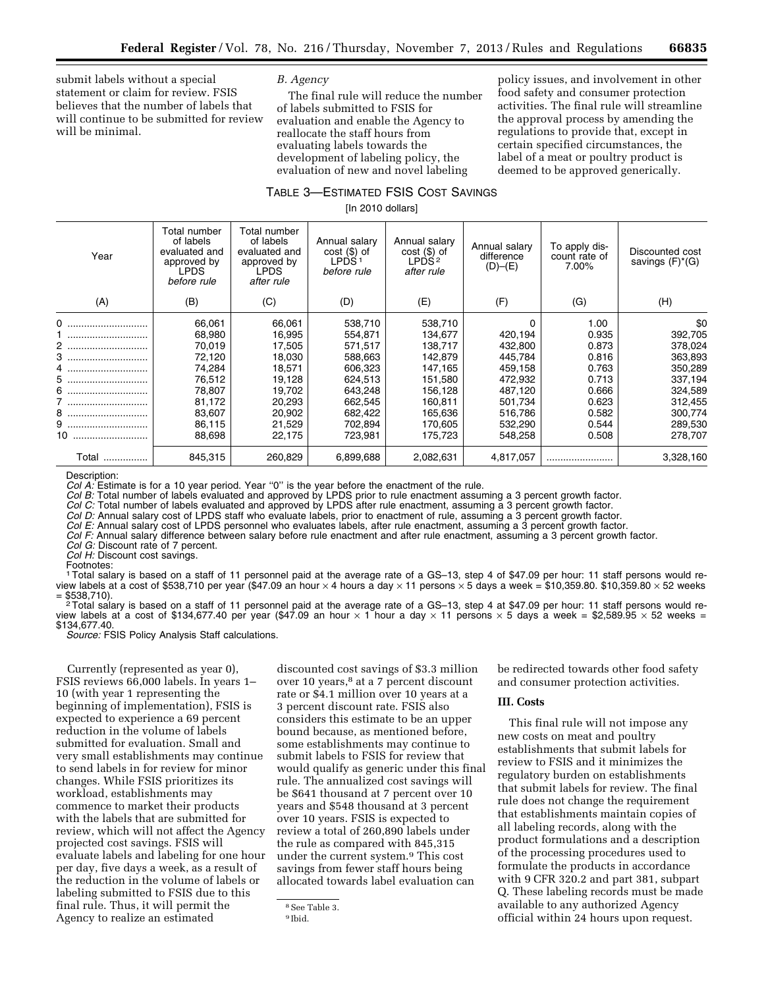submit labels without a special statement or claim for review. FSIS believes that the number of labels that will continue to be submitted for review will be minimal.

### *B. Agency*

The final rule will reduce the number of labels submitted to FSIS for evaluation and enable the Agency to reallocate the staff hours from evaluating labels towards the development of labeling policy, the evaluation of new and novel labeling

policy issues, and involvement in other food safety and consumer protection activities. The final rule will streamline the approval process by amending the regulations to provide that, except in certain specified circumstances, the label of a meat or poultry product is deemed to be approved generically.

# TABLE 3—ESTIMATED FSIS COST SAVINGS

[In 2010 dollars]

| Year      | Total number<br>of labels<br>evaluated and<br>approved by<br><b>LPDS</b><br>before rule | Total number<br>of labels<br>evaluated and<br>approved by<br><b>LPDS</b><br>after rule | Annual salary<br>$cost$ (\$) of<br>LPDS <sup>1</sup><br>before rule | Annual salary<br>$cost$ (\$) of<br>LPDS 2<br>after rule | Annual salary<br>difference<br>$(D)$ – $(E)$ | To apply dis-<br>count rate of<br>7.00% | Discounted cost<br>savings $(F)^*(G)$ |
|-----------|-----------------------------------------------------------------------------------------|----------------------------------------------------------------------------------------|---------------------------------------------------------------------|---------------------------------------------------------|----------------------------------------------|-----------------------------------------|---------------------------------------|
| (A)       | (B)                                                                                     | (C)                                                                                    | (D)                                                                 | (E)                                                     | (F)                                          | (G)                                     | (H)                                   |
| 0         | 66,061                                                                                  | 66,061                                                                                 | 538,710                                                             | 538,710                                                 | 0                                            | 1.00                                    | \$0                                   |
|           | 68,980                                                                                  | 16,995                                                                                 | 554,871                                                             | 134,677                                                 | 420,194                                      | 0.935                                   | 392,705                               |
|           | 70,019                                                                                  | 17,505                                                                                 | 571,517                                                             | 138,717                                                 | 432,800                                      | 0.873                                   | 378,024                               |
| 2<br>3    | 72,120                                                                                  | 18,030                                                                                 | 588,663                                                             | 142,879                                                 | 445,784                                      | 0.816                                   | 363,893                               |
|           | 74,284                                                                                  | 18,571                                                                                 | 606,323                                                             | 147,165                                                 | 459,158                                      | 0.763                                   | 350,289                               |
| 4         | 76,512                                                                                  | 19,128                                                                                 | 624,513                                                             | 151,580                                                 | 472,932                                      | 0.713                                   | 337,194                               |
| 5         | 78,807                                                                                  | 19,702                                                                                 | 643,248                                                             | 156,128                                                 | 487,120                                      | 0.666                                   | 324,589                               |
| 6         | 81,172                                                                                  | 20,293                                                                                 | 662,545                                                             | 160,811                                                 | 501,734                                      | 0.623                                   | 312,455                               |
| /         | 83,607                                                                                  | 20,902                                                                                 |                                                                     |                                                         | 516,786                                      | 0.582                                   | 300,774                               |
|           |                                                                                         |                                                                                        | 682,422                                                             | 165,636                                                 |                                              |                                         |                                       |
|           | 86,115                                                                                  | 21,529                                                                                 | 702,894                                                             | 170,605                                                 | 532,290                                      | 0.544                                   | 289,530                               |
| 10        | 88,698                                                                                  | 22,175                                                                                 | 723,981                                                             | 175,723                                                 | 548,258                                      | 0.508                                   | 278,707                               |
| Total<br> | 845,315                                                                                 | 260,829                                                                                | 6,899,688                                                           | 2,082,631                                               | 4,817,057                                    |                                         | 3,328,160                             |

Description:

*Col A:* Estimate is for a 10 year period. Year "0" is the year before the enactment of the rule.

*Col B:* Total number of labels evaluated and approved by LPDS prior to rule enactment assuming a 3 percent growth factor.

*Col C:* Total number of labels evaluated and approved by LPDS after rule enactment, assuming a 3 percent growth factor.

*Col D:* Annual salary cost of LPDS staff who evaluate labels, prior to enactment of rule, assuming a 3 percent growth factor. *Col E:* Annual salary cost of LPDS personnel who evaluates labels, after rule enactment, assuming a 3 percent growth factor.

*Col F:* Annual salary difference between salary before rule enactment and after rule enactment, assuming a 3 percent growth factor.

*Col G:* Discount rate of 7 percent. *Col H:* Discount cost savings.

Footnotes:

1Total salary is based on a staff of 11 personnel paid at the average rate of a GS–13, step 4 of \$47.09 per hour: 11 staff persons would review labels at a cost of \$538,710 per year (\$47.09 an hour × 4 hours a day × 11 persons × 5 days a week = \$10,359.80. \$10,359.80 × 52 weeks<br>= \$538,710).

 $2$ Total salary is based on a staff of 11 personnel paid at the average rate of a GS–13, step 4 at \$47.09 per hour: 11 staff persons would review labels at a cost of \$134,677.40 per year (\$47.09 an hour  $\times$  1 hour a day  $\times$  11 persons  $\times$  5 days a week = \$2,589.95  $\times$  52 weeks = \$134,677.40.

*Source:* FSIS Policy Analysis Staff calculations.

Currently (represented as year 0), FSIS reviews 66,000 labels. In years 1– 10 (with year 1 representing the beginning of implementation), FSIS is expected to experience a 69 percent reduction in the volume of labels submitted for evaluation. Small and very small establishments may continue to send labels in for review for minor changes. While FSIS prioritizes its workload, establishments may commence to market their products with the labels that are submitted for review, which will not affect the Agency projected cost savings. FSIS will evaluate labels and labeling for one hour per day, five days a week, as a result of the reduction in the volume of labels or labeling submitted to FSIS due to this final rule. Thus, it will permit the Agency to realize an estimated

discounted cost savings of \$3.3 million over 10 years,<sup>8</sup> at a 7 percent discount rate or \$4.1 million over 10 years at a 3 percent discount rate. FSIS also considers this estimate to be an upper bound because, as mentioned before, some establishments may continue to submit labels to FSIS for review that would qualify as generic under this final rule. The annualized cost savings will be \$641 thousand at 7 percent over 10 years and \$548 thousand at 3 percent over 10 years. FSIS is expected to review a total of 260,890 labels under the rule as compared with 845,315 under the current system.9 This cost savings from fewer staff hours being allocated towards label evaluation can

8See Table 3.

be redirected towards other food safety and consumer protection activities.

# **III. Costs**

This final rule will not impose any new costs on meat and poultry establishments that submit labels for review to FSIS and it minimizes the regulatory burden on establishments that submit labels for review. The final rule does not change the requirement that establishments maintain copies of all labeling records, along with the product formulations and a description of the processing procedures used to formulate the products in accordance with 9 CFR 320.2 and part 381, subpart Q. These labeling records must be made available to any authorized Agency official within 24 hours upon request.

<sup>9</sup> Ibid.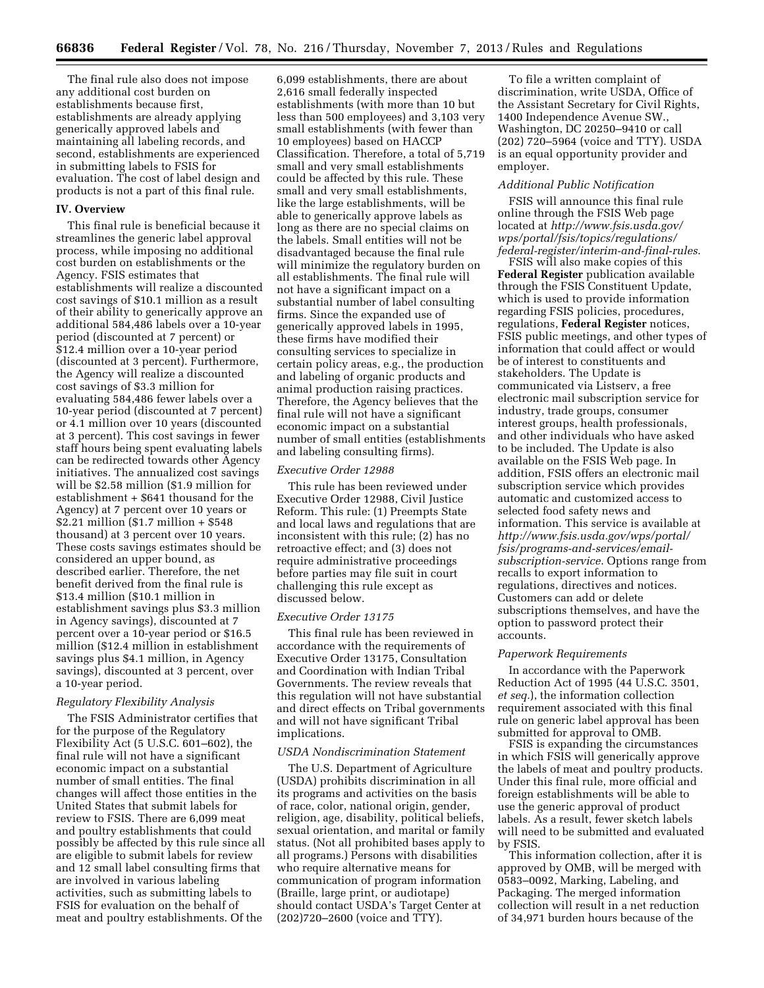The final rule also does not impose any additional cost burden on establishments because first, establishments are already applying generically approved labels and maintaining all labeling records, and second, establishments are experienced in submitting labels to FSIS for evaluation. The cost of label design and products is not a part of this final rule.

#### **IV. Overview**

This final rule is beneficial because it streamlines the generic label approval process, while imposing no additional cost burden on establishments or the Agency. FSIS estimates that establishments will realize a discounted cost savings of \$10.1 million as a result of their ability to generically approve an additional 584,486 labels over a 10-year period (discounted at 7 percent) or \$12.4 million over a 10-year period (discounted at 3 percent). Furthermore, the Agency will realize a discounted cost savings of \$3.3 million for evaluating 584,486 fewer labels over a 10-year period (discounted at 7 percent) or 4.1 million over 10 years (discounted at 3 percent). This cost savings in fewer staff hours being spent evaluating labels can be redirected towards other Agency initiatives. The annualized cost savings will be \$2.58 million (\$1.9 million for establishment + \$641 thousand for the Agency) at 7 percent over 10 years or \$2.21 million (\$1.7 million + \$548 thousand) at 3 percent over 10 years. These costs savings estimates should be considered an upper bound, as described earlier. Therefore, the net benefit derived from the final rule is \$13.4 million (\$10.1 million in establishment savings plus \$3.3 million in Agency savings), discounted at 7 percent over a 10-year period or \$16.5 million (\$12.4 million in establishment savings plus \$4.1 million, in Agency savings), discounted at 3 percent, over a 10-year period.

### *Regulatory Flexibility Analysis*

The FSIS Administrator certifies that for the purpose of the Regulatory Flexibility Act (5 U.S.C. 601–602), the final rule will not have a significant economic impact on a substantial number of small entities. The final changes will affect those entities in the United States that submit labels for review to FSIS. There are 6,099 meat and poultry establishments that could possibly be affected by this rule since all are eligible to submit labels for review and 12 small label consulting firms that are involved in various labeling activities, such as submitting labels to FSIS for evaluation on the behalf of meat and poultry establishments. Of the

6,099 establishments, there are about 2,616 small federally inspected establishments (with more than 10 but less than 500 employees) and 3,103 very small establishments (with fewer than 10 employees) based on HACCP Classification. Therefore, a total of 5,719 small and very small establishments could be affected by this rule. These small and very small establishments, like the large establishments, will be able to generically approve labels as long as there are no special claims on the labels. Small entities will not be disadvantaged because the final rule will minimize the regulatory burden on all establishments. The final rule will not have a significant impact on a substantial number of label consulting firms. Since the expanded use of generically approved labels in 1995, these firms have modified their consulting services to specialize in certain policy areas, e.g., the production and labeling of organic products and animal production raising practices. Therefore, the Agency believes that the final rule will not have a significant economic impact on a substantial number of small entities (establishments and labeling consulting firms).

#### *Executive Order 12988*

This rule has been reviewed under Executive Order 12988, Civil Justice Reform. This rule: (1) Preempts State and local laws and regulations that are inconsistent with this rule; (2) has no retroactive effect; and (3) does not require administrative proceedings before parties may file suit in court challenging this rule except as discussed below.

### *Executive Order 13175*

This final rule has been reviewed in accordance with the requirements of Executive Order 13175, Consultation and Coordination with Indian Tribal Governments. The review reveals that this regulation will not have substantial and direct effects on Tribal governments and will not have significant Tribal implications.

#### *USDA Nondiscrimination Statement*

The U.S. Department of Agriculture (USDA) prohibits discrimination in all its programs and activities on the basis of race, color, national origin, gender, religion, age, disability, political beliefs, sexual orientation, and marital or family status. (Not all prohibited bases apply to all programs.) Persons with disabilities who require alternative means for communication of program information (Braille, large print, or audiotape) should contact USDA's Target Center at (202)720–2600 (voice and TTY).

To file a written complaint of discrimination, write USDA, Office of the Assistant Secretary for Civil Rights, 1400 Independence Avenue SW., Washington, DC 20250–9410 or call (202) 720–5964 (voice and TTY). USDA is an equal opportunity provider and employer.

#### *Additional Public Notification*

FSIS will announce this final rule online through the FSIS Web page located at *[http://www.fsis.usda.gov/](http://www.fsis.usda.gov/wps/portal/fsis/topics/regulations/federal-register/interim-and-final-rules) [wps/portal/fsis/topics/regulations/](http://www.fsis.usda.gov/wps/portal/fsis/topics/regulations/federal-register/interim-and-final-rules) [federal-register/interim-and-final-rules](http://www.fsis.usda.gov/wps/portal/fsis/topics/regulations/federal-register/interim-and-final-rules)*.

FSIS will also make copies of this **Federal Register** publication available through the FSIS Constituent Update, which is used to provide information regarding FSIS policies, procedures, regulations, **Federal Register** notices, FSIS public meetings, and other types of information that could affect or would be of interest to constituents and stakeholders. The Update is communicated via Listserv, a free electronic mail subscription service for industry, trade groups, consumer interest groups, health professionals, and other individuals who have asked to be included. The Update is also available on the FSIS Web page. In addition, FSIS offers an electronic mail subscription service which provides automatic and customized access to selected food safety news and information. This service is available at *[http://www.fsis.usda.gov/wps/portal/](http://www.fsis.usda.gov/wps/portal/fsis/programs-and-services/email-subscription-service) [fsis/programs-and-services/email](http://www.fsis.usda.gov/wps/portal/fsis/programs-and-services/email-subscription-service)[subscription-service](http://www.fsis.usda.gov/wps/portal/fsis/programs-and-services/email-subscription-service)*. Options range from recalls to export information to regulations, directives and notices. Customers can add or delete subscriptions themselves, and have the option to password protect their accounts.

#### *Paperwork Requirements*

In accordance with the Paperwork Reduction Act of 1995 (44 U.S.C. 3501, *et seq.*), the information collection requirement associated with this final rule on generic label approval has been submitted for approval to OMB.

FSIS is expanding the circumstances in which FSIS will generically approve the labels of meat and poultry products. Under this final rule, more official and foreign establishments will be able to use the generic approval of product labels. As a result, fewer sketch labels will need to be submitted and evaluated by FSIS.

This information collection, after it is approved by OMB, will be merged with 0583–0092, Marking, Labeling, and Packaging. The merged information collection will result in a net reduction of 34,971 burden hours because of the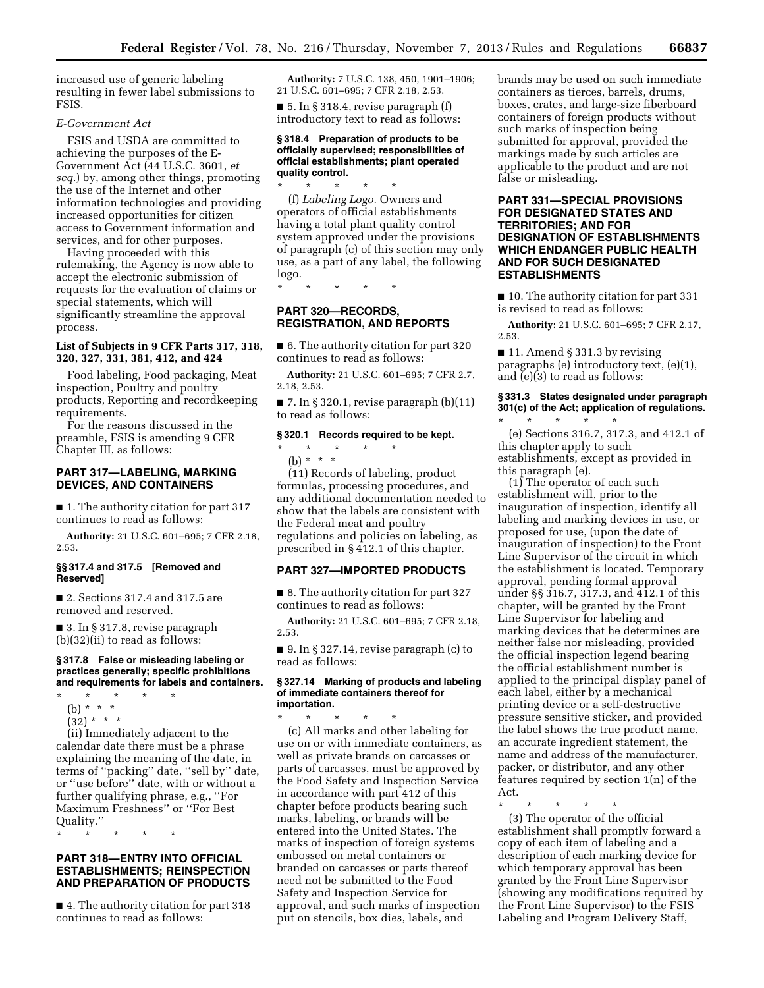increased use of generic labeling resulting in fewer label submissions to FSIS.

# *E-Government Act*

FSIS and USDA are committed to achieving the purposes of the E-Government Act (44 U.S.C. 3601, *et seq.*) by, among other things, promoting the use of the Internet and other information technologies and providing increased opportunities for citizen access to Government information and services, and for other purposes.

Having proceeded with this rulemaking, the Agency is now able to accept the electronic submission of requests for the evaluation of claims or special statements, which will significantly streamline the approval process.

# **List of Subjects in 9 CFR Parts 317, 318, 320, 327, 331, 381, 412, and 424**

Food labeling, Food packaging, Meat inspection, Poultry and poultry products, Reporting and recordkeeping requirements.

For the reasons discussed in the preamble, FSIS is amending 9 CFR Chapter III, as follows:

# **PART 317—LABELING, MARKING DEVICES, AND CONTAINERS**

■ 1. The authority citation for part 317 continues to read as follows:

**Authority:** 21 U.S.C. 601–695; 7 CFR 2.18, 2.53.

### **§§ 317.4 and 317.5 [Removed and Reserved]**

■ 2. Sections 317.4 and 317.5 are removed and reserved.

■ 3. In § 317.8, revise paragraph (b)(32)(ii) to read as follows:

# **§ 317.8 False or misleading labeling or practices generally; specific prohibitions**

**and requirements for labels and containers.** 

- \* \* \* \* \*
	- (b) \* \* \*  $(32) * * * *$
	-

(ii) Immediately adjacent to the calendar date there must be a phrase explaining the meaning of the date, in terms of ''packing'' date, ''sell by'' date, or ''use before'' date, with or without a further qualifying phrase, e.g., ''For Maximum Freshness'' or ''For Best Quality.''

\* \* \* \* \*

### **PART 318—ENTRY INTO OFFICIAL ESTABLISHMENTS; REINSPECTION AND PREPARATION OF PRODUCTS**

■ 4. The authority citation for part 318 continues to read as follows:

**Authority:** 7 U.S.C. 138, 450, 1901–1906; 21 U.S.C. 601–695; 7 CFR 2.18, 2.53.

 $\blacksquare$  5. In § 318.4, revise paragraph (f) introductory text to read as follows:

#### **§ 318.4 Preparation of products to be officially supervised; responsibilities of official establishments; plant operated quality control.**

\* \* \* \* \* (f) *Labeling Logo.* Owners and operators of official establishments having a total plant quality control system approved under the provisions of paragraph (c) of this section may only use, as a part of any label, the following logo.

\* \* \* \* \*

# **PART 320—RECORDS, REGISTRATION, AND REPORTS**

■ 6. The authority citation for part 320 continues to read as follows:

**Authority:** 21 U.S.C. 601–695; 7 CFR 2.7, 2.18, 2.53.

■ 7. In § 320.1, revise paragraph (b)(11) to read as follows:

#### **§ 320.1 Records required to be kept.**

# \* \* \* \* \*

(b) \* \* \*

(11) Records of labeling, product formulas, processing procedures, and any additional documentation needed to show that the labels are consistent with the Federal meat and poultry regulations and policies on labeling, as prescribed in § 412.1 of this chapter.

# **PART 327—IMPORTED PRODUCTS**

■ 8. The authority citation for part 327 continues to read as follows:

**Authority:** 21 U.S.C. 601–695; 7 CFR 2.18, 2.53.

■ 9. In § 327.14, revise paragraph (c) to read as follows:

#### **§ 327.14 Marking of products and labeling of immediate containers thereof for importation.**

\* \* \* \* \* (c) All marks and other labeling for use on or with immediate containers, as well as private brands on carcasses or parts of carcasses, must be approved by the Food Safety and Inspection Service in accordance with part 412 of this chapter before products bearing such marks, labeling, or brands will be entered into the United States. The marks of inspection of foreign systems embossed on metal containers or branded on carcasses or parts thereof need not be submitted to the Food Safety and Inspection Service for approval, and such marks of inspection put on stencils, box dies, labels, and

brands may be used on such immediate containers as tierces, barrels, drums, boxes, crates, and large-size fiberboard containers of foreign products without such marks of inspection being submitted for approval, provided the markings made by such articles are applicable to the product and are not false or misleading.

# **PART 331—SPECIAL PROVISIONS FOR DESIGNATED STATES AND TERRITORIES; AND FOR DESIGNATION OF ESTABLISHMENTS WHICH ENDANGER PUBLIC HEALTH AND FOR SUCH DESIGNATED ESTABLISHMENTS**

■ 10. The authority citation for part 331 is revised to read as follows:

**Authority:** 21 U.S.C. 601–695; 7 CFR 2.17, 2.53.

 $\blacksquare$  11. Amend § 331.3 by revising paragraphs (e) introductory text, (e)(1), and (e)(3) to read as follows:

# **§ 331.3 States designated under paragraph 301(c) of the Act; application of regulations.**  \* \* \* \* \*

(e) Sections 316.7, 317.3, and 412.1 of this chapter apply to such establishments, except as provided in this paragraph (e).

(1) The operator of each such establishment will, prior to the inauguration of inspection, identify all labeling and marking devices in use, or proposed for use, (upon the date of inauguration of inspection) to the Front Line Supervisor of the circuit in which the establishment is located. Temporary approval, pending formal approval under §§ 316.7, 317.3, and 412.1 of this chapter, will be granted by the Front Line Supervisor for labeling and marking devices that he determines are neither false nor misleading, provided the official inspection legend bearing the official establishment number is applied to the principal display panel of each label, either by a mechanical printing device or a self-destructive pressure sensitive sticker, and provided the label shows the true product name, an accurate ingredient statement, the name and address of the manufacturer, packer, or distributor, and any other features required by section 1(n) of the Act.

\* \* \* \* \* (3) The operator of the official establishment shall promptly forward a copy of each item of labeling and a description of each marking device for which temporary approval has been granted by the Front Line Supervisor (showing any modifications required by the Front Line Supervisor) to the FSIS Labeling and Program Delivery Staff,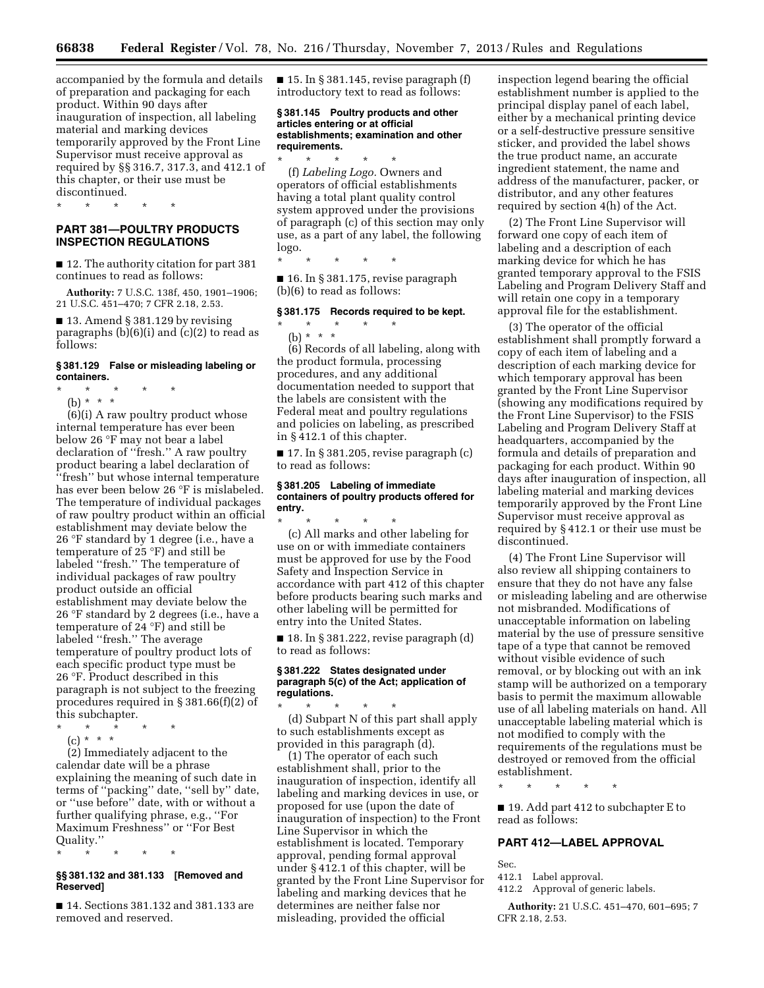accompanied by the formula and details of preparation and packaging for each product. Within 90 days after inauguration of inspection, all labeling material and marking devices temporarily approved by the Front Line Supervisor must receive approval as required by §§ 316.7, 317.3, and 412.1 of this chapter, or their use must be discontinued.

\* \* \* \* \*

# **PART 381—POULTRY PRODUCTS INSPECTION REGULATIONS**

■ 12. The authority citation for part 381 continues to read as follows:

**Authority:** 7 U.S.C. 138f, 450, 1901–1906; 21 U.S.C. 451–470; 7 CFR 2.18, 2.53.

 $\blacksquare$  13. Amend § 381.129 by revising paragraphs  $(b)(6)(i)$  and  $(c)(2)$  to read as follows:

# **§ 381.129 False or misleading labeling or containers.**

- \* \* \* \* \*
	- (b) \* \* \*

(6)(i) A raw poultry product whose internal temperature has ever been below 26 °F may not bear a label declaration of ''fresh.'' A raw poultry product bearing a label declaration of ''fresh'' but whose internal temperature has ever been below 26 °F is mislabeled. The temperature of individual packages of raw poultry product within an official establishment may deviate below the 26 °F standard by 1 degree (i.e., have a temperature of 25 °F) and still be labeled ''fresh.'' The temperature of individual packages of raw poultry product outside an official establishment may deviate below the 26 °F standard by 2 degrees (i.e., have a temperature of 24 °F) and still be labeled ''fresh.'' The average temperature of poultry product lots of each specific product type must be 26 °F. Product described in this paragraph is not subject to the freezing procedures required in § 381.66(f)(2) of this subchapter.

- \* \* \* \* \*
- $(c) * * * *$

(2) Immediately adjacent to the calendar date will be a phrase explaining the meaning of such date in terms of ''packing'' date, ''sell by'' date, or ''use before'' date, with or without a further qualifying phrase, e.g., ''For Maximum Freshness'' or ''For Best Quality.''

\* \* \* \* \*

### **§§ 381.132 and 381.133 [Removed and Reserved]**

■ 14. Sections 381.132 and 381.133 are removed and reserved.

 $\blacksquare$  15. In § 381.145, revise paragraph (f) introductory text to read as follows:

#### **§ 381.145 Poultry products and other articles entering or at official establishments; examination and other requirements.**

\* \* \* \* \* (f) *Labeling Logo.* Owners and operators of official establishments having a total plant quality control system approved under the provisions of paragraph (c) of this section may only use, as a part of any label, the following logo.

\* \* \* \* \*

■ 16. In § 381.175, revise paragraph (b)(6) to read as follows:

#### **§ 381.175 Records required to be kept.**

## \* \* \* \* \* (b) \* \* \*

(6) Records of all labeling, along with the product formula, processing procedures, and any additional documentation needed to support that the labels are consistent with the Federal meat and poultry regulations and policies on labeling, as prescribed in § 412.1 of this chapter.

 $\blacksquare$  17. In § 381.205, revise paragraph (c) to read as follows:

# **§ 381.205 Labeling of immediate containers of poultry products offered for entry.**

\* \* \* \* \* (c) All marks and other labeling for use on or with immediate containers must be approved for use by the Food Safety and Inspection Service in accordance with part 412 of this chapter before products bearing such marks and other labeling will be permitted for entry into the United States.

 $\blacksquare$  18. In § 381.222, revise paragraph (d) to read as follows:

### **§ 381.222 States designated under paragraph 5(c) of the Act; application of regulations.**

\* \* \* \* \* (d) Subpart N of this part shall apply to such establishments except as provided in this paragraph (d).

(1) The operator of each such establishment shall, prior to the inauguration of inspection, identify all labeling and marking devices in use, or proposed for use (upon the date of inauguration of inspection) to the Front Line Supervisor in which the establishment is located. Temporary approval, pending formal approval under § 412.1 of this chapter, will be granted by the Front Line Supervisor for labeling and marking devices that he determines are neither false nor misleading, provided the official

inspection legend bearing the official establishment number is applied to the principal display panel of each label, either by a mechanical printing device or a self-destructive pressure sensitive sticker, and provided the label shows the true product name, an accurate ingredient statement, the name and address of the manufacturer, packer, or distributor, and any other features required by section 4(h) of the Act.

(2) The Front Line Supervisor will forward one copy of each item of labeling and a description of each marking device for which he has granted temporary approval to the FSIS Labeling and Program Delivery Staff and will retain one copy in a temporary approval file for the establishment.

(3) The operator of the official establishment shall promptly forward a copy of each item of labeling and a description of each marking device for which temporary approval has been granted by the Front Line Supervisor (showing any modifications required by the Front Line Supervisor) to the FSIS Labeling and Program Delivery Staff at headquarters, accompanied by the formula and details of preparation and packaging for each product. Within 90 days after inauguration of inspection, all labeling material and marking devices temporarily approved by the Front Line Supervisor must receive approval as required by § 412.1 or their use must be discontinued.

(4) The Front Line Supervisor will also review all shipping containers to ensure that they do not have any false or misleading labeling and are otherwise not misbranded. Modifications of unacceptable information on labeling material by the use of pressure sensitive tape of a type that cannot be removed without visible evidence of such removal, or by blocking out with an ink stamp will be authorized on a temporary basis to permit the maximum allowable use of all labeling materials on hand. All unacceptable labeling material which is not modified to comply with the requirements of the regulations must be destroyed or removed from the official establishment.

\* \* \* \* \*

■ 19. Add part 412 to subchapter E to read as follows:

## **PART 412—LABEL APPROVAL**

Sec.

412.1 Label approval.

412.2 Approval of generic labels.

**Authority:** 21 U.S.C. 451–470, 601–695; 7 CFR 2.18, 2.53.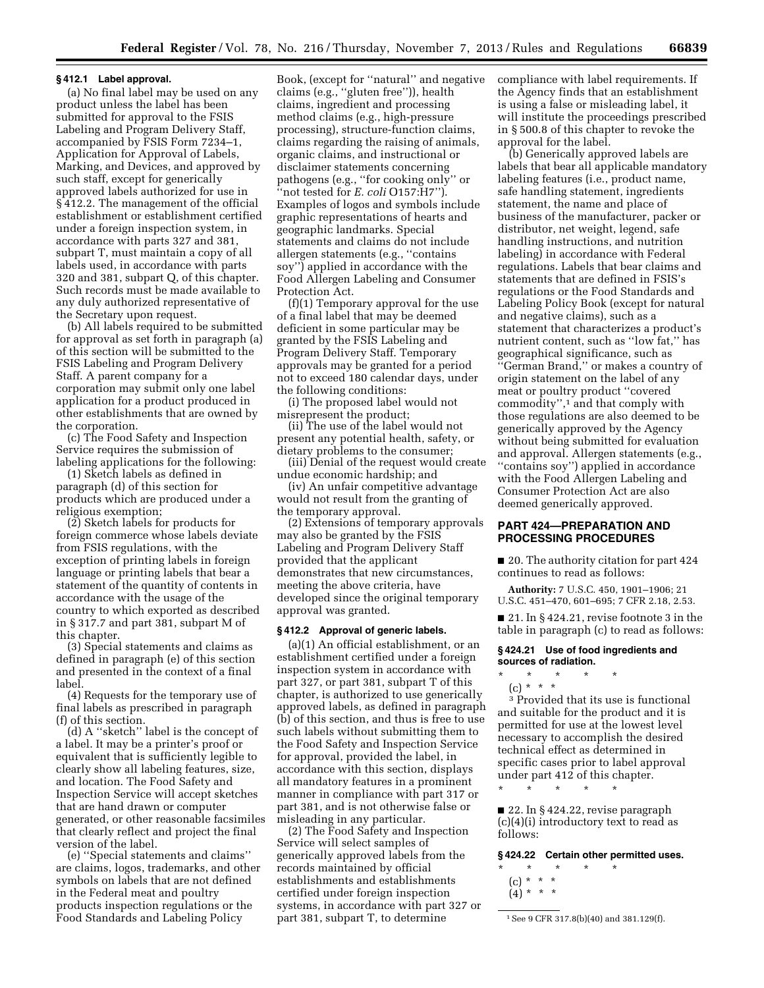#### **§ 412.1 Label approval.**

(a) No final label may be used on any product unless the label has been submitted for approval to the FSIS Labeling and Program Delivery Staff, accompanied by FSIS Form 7234–1, Application for Approval of Labels, Marking, and Devices, and approved by such staff, except for generically approved labels authorized for use in § 412.2. The management of the official establishment or establishment certified under a foreign inspection system, in accordance with parts 327 and 381, subpart T, must maintain a copy of all labels used, in accordance with parts 320 and 381, subpart Q, of this chapter. Such records must be made available to any duly authorized representative of the Secretary upon request.

(b) All labels required to be submitted for approval as set forth in paragraph (a) of this section will be submitted to the FSIS Labeling and Program Delivery Staff. A parent company for a corporation may submit only one label application for a product produced in other establishments that are owned by the corporation.

(c) The Food Safety and Inspection Service requires the submission of labeling applications for the following:

(1) Sketch labels as defined in paragraph (d) of this section for products which are produced under a religious exemption;

(2) Sketch labels for products for foreign commerce whose labels deviate from FSIS regulations, with the exception of printing labels in foreign language or printing labels that bear a statement of the quantity of contents in accordance with the usage of the country to which exported as described in § 317.7 and part 381, subpart M of this chapter.

(3) Special statements and claims as defined in paragraph (e) of this section and presented in the context of a final label.

(4) Requests for the temporary use of final labels as prescribed in paragraph (f) of this section.

(d) A ''sketch'' label is the concept of a label. It may be a printer's proof or equivalent that is sufficiently legible to clearly show all labeling features, size, and location. The Food Safety and Inspection Service will accept sketches that are hand drawn or computer generated, or other reasonable facsimiles that clearly reflect and project the final version of the label.

(e) ''Special statements and claims'' are claims, logos, trademarks, and other symbols on labels that are not defined in the Federal meat and poultry products inspection regulations or the Food Standards and Labeling Policy

Book, (except for ''natural'' and negative claims (e.g., ''gluten free'')), health claims, ingredient and processing method claims (e.g., high-pressure processing), structure-function claims, claims regarding the raising of animals, organic claims, and instructional or disclaimer statements concerning pathogens (e.g., ''for cooking only'' or ''not tested for *E. coli* O157:H7''). Examples of logos and symbols include graphic representations of hearts and geographic landmarks. Special statements and claims do not include allergen statements (e.g., ''contains soy'') applied in accordance with the Food Allergen Labeling and Consumer Protection Act.

(f)(1) Temporary approval for the use of a final label that may be deemed deficient in some particular may be granted by the FSIS Labeling and Program Delivery Staff. Temporary approvals may be granted for a period not to exceed 180 calendar days, under the following conditions:

(i) The proposed label would not misrepresent the product;

(ii) The use of the label would not present any potential health, safety, or dietary problems to the consumer;

(iii) Denial of the request would create undue economic hardship; and

(iv) An unfair competitive advantage would not result from the granting of the temporary approval.

(2) Extensions of temporary approvals may also be granted by the FSIS Labeling and Program Delivery Staff provided that the applicant demonstrates that new circumstances, meeting the above criteria, have developed since the original temporary approval was granted.

#### **§ 412.2 Approval of generic labels.**

(a)(1) An official establishment, or an establishment certified under a foreign inspection system in accordance with part 327, or part 381, subpart T of this chapter, is authorized to use generically approved labels, as defined in paragraph (b) of this section, and thus is free to use such labels without submitting them to the Food Safety and Inspection Service for approval, provided the label, in accordance with this section, displays all mandatory features in a prominent manner in compliance with part 317 or part 381, and is not otherwise false or misleading in any particular.

(2) The Food Safety and Inspection Service will select samples of generically approved labels from the records maintained by official establishments and establishments certified under foreign inspection systems, in accordance with part 327 or part 381, subpart T, to determine

compliance with label requirements. If the Agency finds that an establishment is using a false or misleading label, it will institute the proceedings prescribed in § 500.8 of this chapter to revoke the approval for the label.

(b) Generically approved labels are labels that bear all applicable mandatory labeling features (i.e., product name, safe handling statement, ingredients statement, the name and place of business of the manufacturer, packer or distributor, net weight, legend, safe handling instructions, and nutrition labeling) in accordance with Federal regulations. Labels that bear claims and statements that are defined in FSIS's regulations or the Food Standards and Labeling Policy Book (except for natural and negative claims), such as a statement that characterizes a product's nutrient content, such as ''low fat,'' has geographical significance, such as ''German Brand,'' or makes a country of origin statement on the label of any meat or poultry product ''covered commodity'',1 and that comply with those regulations are also deemed to be generically approved by the Agency without being submitted for evaluation and approval. Allergen statements (e.g., ''contains soy'') applied in accordance with the Food Allergen Labeling and Consumer Protection Act are also deemed generically approved.

# **PART 424—PREPARATION AND PROCESSING PROCEDURES**

■ 20. The authority citation for part 424 continues to read as follows:

**Authority:** 7 U.S.C. 450, 1901–1906; 21 U.S.C. 451–470, 601–695; 7 CFR 2.18, 2.53.

 $\blacksquare$  21. In § 424.21, revise footnote 3 in the table in paragraph (c) to read as follows:

# **§ 424.21 Use of food ingredients and sources of radiation.**

- \* \* \* \* \*
- (c) \* \* \*

3 Provided that its use is functional and suitable for the product and it is permitted for use at the lowest level necessary to accomplish the desired technical effect as determined in specific cases prior to label approval under part 412 of this chapter.

■ 22. In § 424.22, revise paragraph

\* \* \* \* \*

(c)(4)(i) introductory text to read as follows:

**§ 424.22 Certain other permitted uses.** 

- \* \* \* \* \* (c) \* \* \*
	- $(4) * * * *$

1See 9 CFR 317.8(b)(40) and 381.129(f).